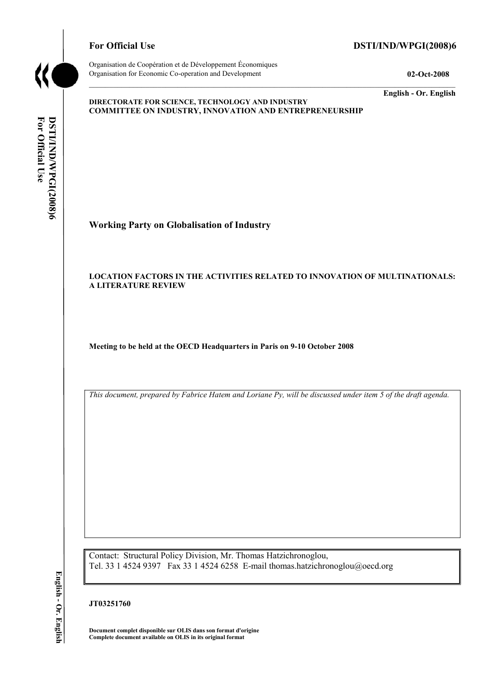

# For Official Use DSTI/IND/WPGI(2008)6

Organisation de Coopération et de Développement Économiques Organisation for Economic Co-operation and Development **02-Oct-2008** 

**English - Or. English** 

#### **DIRECTORATE FOR SCIENCE, TECHNOLOGY AND INDUSTRY COMMITTEE ON INDUSTRY, INNOVATION AND ENTREPRENEURSHIP**

For Official Use **For Official Use**  DSTI/IND/WPGI(2008)6 **DSTI/IND/WPGI(2008)6 English - Or. English**

**Working Party on Globalisation of Industry** 

## **LOCATION FACTORS IN THE ACTIVITIES RELATED TO INNOVATION OF MULTINATIONALS: A LITERATURE REVIEW**

**Meeting to be held at the OECD Headquarters in Paris on 9-10 October 2008** 

*This document, prepared by Fabrice Hatem and Loriane Py, will be discussed under item 5 of the draft agenda.* 

Contact: Structural Policy Division, Mr. Thomas Hatzichronoglou, Tel. 33 1 4524 9397 Fax 33 1 4524 6258 E-mail thomas.hatzichronoglou@oecd.org

# **JT03251760**

**Document complet disponible sur OLIS dans son format d'origine Complete document available on OLIS in its original format** 

English - Or. English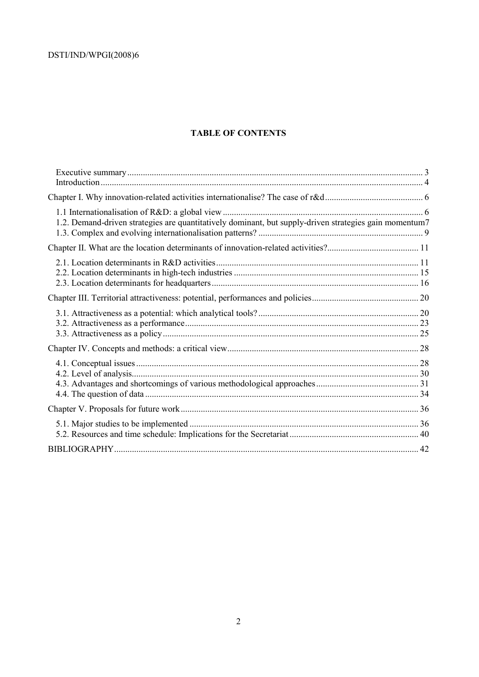# **TABLE OF CONTENTS**

| 1.2. Demand-driven strategies are quantitatively dominant, but supply-driven strategies gain momentum7 |  |
|--------------------------------------------------------------------------------------------------------|--|
|                                                                                                        |  |
|                                                                                                        |  |
|                                                                                                        |  |
|                                                                                                        |  |
|                                                                                                        |  |
|                                                                                                        |  |
|                                                                                                        |  |
|                                                                                                        |  |
|                                                                                                        |  |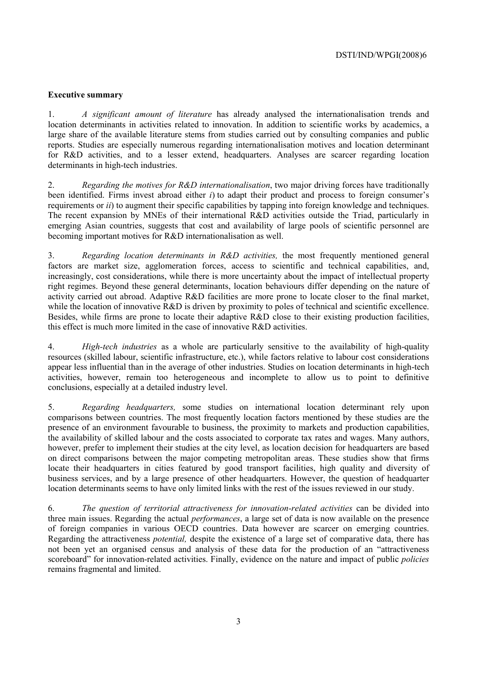## **Executive summary**

1. *A significant amount of literature* has already analysed the internationalisation trends and location determinants in activities related to innovation. In addition to scientific works by academics, a large share of the available literature stems from studies carried out by consulting companies and public reports. Studies are especially numerous regarding internationalisation motives and location determinant for R&D activities, and to a lesser extend, headquarters. Analyses are scarcer regarding location determinants in high-tech industries.

2. *Regarding the motives for R&D internationalisation*, two major driving forces have traditionally been identified. Firms invest abroad either *i*) to adapt their product and process to foreign consumer's requirements or *ii*) to augment their specific capabilities by tapping into foreign knowledge and techniques. The recent expansion by MNEs of their international R&D activities outside the Triad, particularly in emerging Asian countries, suggests that cost and availability of large pools of scientific personnel are becoming important motives for R&D internationalisation as well.

3. *Regarding location determinants in R&D activities,* the most frequently mentioned general factors are market size, agglomeration forces, access to scientific and technical capabilities, and, increasingly, cost considerations, while there is more uncertainty about the impact of intellectual property right regimes. Beyond these general determinants, location behaviours differ depending on the nature of activity carried out abroad. Adaptive R&D facilities are more prone to locate closer to the final market, while the location of innovative R&D is driven by proximity to poles of technical and scientific excellence. Besides, while firms are prone to locate their adaptive R&D close to their existing production facilities, this effect is much more limited in the case of innovative R&D activities.

4. *High-tech industries* as a whole are particularly sensitive to the availability of high-quality resources (skilled labour, scientific infrastructure, etc.), while factors relative to labour cost considerations appear less influential than in the average of other industries. Studies on location determinants in high-tech activities, however, remain too heterogeneous and incomplete to allow us to point to definitive conclusions, especially at a detailed industry level.

5. *Regarding headquarters,* some studies on international location determinant rely upon comparisons between countries. The most frequently location factors mentioned by these studies are the presence of an environment favourable to business, the proximity to markets and production capabilities, the availability of skilled labour and the costs associated to corporate tax rates and wages. Many authors, however, prefer to implement their studies at the city level, as location decision for headquarters are based on direct comparisons between the major competing metropolitan areas. These studies show that firms locate their headquarters in cities featured by good transport facilities, high quality and diversity of business services, and by a large presence of other headquarters. However, the question of headquarter location determinants seems to have only limited links with the rest of the issues reviewed in our study.

6. *The question of territorial attractiveness for innovation-related activities* can be divided into three main issues. Regarding the actual *performances*, a large set of data is now available on the presence of foreign companies in various OECD countries. Data however are scarcer on emerging countries. Regarding the attractiveness *potential,* despite the existence of a large set of comparative data, there has not been yet an organised census and analysis of these data for the production of an "attractiveness scoreboard" for innovation-related activities. Finally, evidence on the nature and impact of public *policies*  remains fragmental and limited.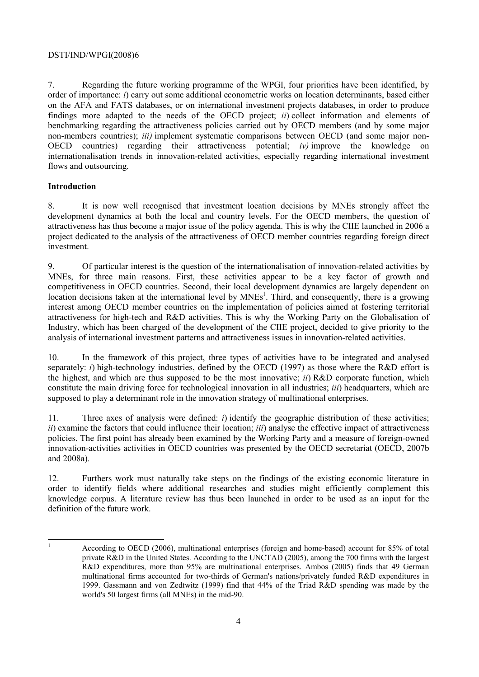7. Regarding the future working programme of the WPGI, four priorities have been identified, by order of importance: *i*) carry out some additional econometric works on location determinants, based either on the AFA and FATS databases, or on international investment projects databases, in order to produce findings more adapted to the needs of the OECD project; *ii*) collect information and elements of benchmarking regarding the attractiveness policies carried out by OECD members (and by some major non-members countries); *iii)* implement systematic comparisons between OECD (and some major non-OECD countries) regarding their attractiveness potential; *iv)* improve the knowledge on internationalisation trends in innovation-related activities, especially regarding international investment flows and outsourcing.

# **Introduction**

8. It is now well recognised that investment location decisions by MNEs strongly affect the development dynamics at both the local and country levels. For the OECD members, the question of attractiveness has thus become a major issue of the policy agenda. This is why the CIIE launched in 2006 a project dedicated to the analysis of the attractiveness of OECD member countries regarding foreign direct investment.

9. Of particular interest is the question of the internationalisation of innovation-related activities by MNEs, for three main reasons. First, these activities appear to be a key factor of growth and competitiveness in OECD countries. Second, their local development dynamics are largely dependent on location decisions taken at the international level by MNEs<sup>1</sup>. Third, and consequently, there is a growing interest among OECD member countries on the implementation of policies aimed at fostering territorial attractiveness for high-tech and R&D activities. This is why the Working Party on the Globalisation of Industry, which has been charged of the development of the CIIE project, decided to give priority to the analysis of international investment patterns and attractiveness issues in innovation-related activities.

10. In the framework of this project, three types of activities have to be integrated and analysed separately: *i*) high-technology industries, defined by the OECD (1997) as those where the R&D effort is the highest, and which are thus supposed to be the most innovative; *ii*) R&D corporate function, which constitute the main driving force for technological innovation in all industries; *iii*) headquarters, which are supposed to play a determinant role in the innovation strategy of multinational enterprises.

11. Three axes of analysis were defined: *i*) identify the geographic distribution of these activities; *ii*) examine the factors that could influence their location; *iii*) analyse the effective impact of attractiveness policies. The first point has already been examined by the Working Party and a measure of foreign-owned innovation-activities activities in OECD countries was presented by the OECD secretariat (OECD, 2007b and 2008a).

12. Furthers work must naturally take steps on the findings of the existing economic literature in order to identify fields where additional researches and studies might efficiently complement this knowledge corpus. A literature review has thus been launched in order to be used as an input for the definition of the future work.

 $\mathbf{1}$ 1 According to OECD (2006), multinational enterprises (foreign and home-based) account for 85% of total private R&D in the United States. According to the UNCTAD (2005), among the 700 firms with the largest R&D expenditures, more than 95% are multinational enterprises. Ambos (2005) finds that 49 German multinational firms accounted for two-thirds of German's nations/privately funded R&D expenditures in 1999. Gassmann and von Zedtwitz (1999) find that 44% of the Triad R&D spending was made by the world's 50 largest firms (all MNEs) in the mid-90.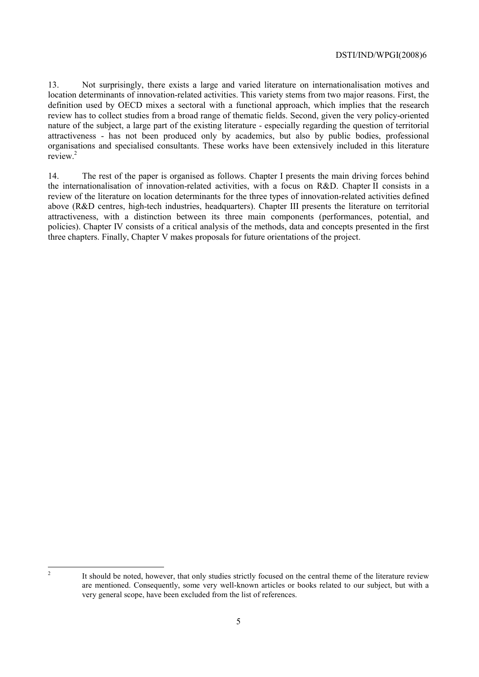13. Not surprisingly, there exists a large and varied literature on internationalisation motives and location determinants of innovation-related activities. This variety stems from two major reasons. First, the definition used by OECD mixes a sectoral with a functional approach, which implies that the research review has to collect studies from a broad range of thematic fields. Second, given the very policy-oriented nature of the subject, a large part of the existing literature - especially regarding the question of territorial attractiveness - has not been produced only by academics, but also by public bodies, professional organisations and specialised consultants. These works have been extensively included in this literature review<sup>2</sup>

14. The rest of the paper is organised as follows. Chapter I presents the main driving forces behind the internationalisation of innovation-related activities, with a focus on R&D. Chapter II consists in a review of the literature on location determinants for the three types of innovation-related activities defined above (R&D centres, high-tech industries, headquarters). Chapter III presents the literature on territorial attractiveness, with a distinction between its three main components (performances, potential, and policies). Chapter IV consists of a critical analysis of the methods, data and concepts presented in the first three chapters. Finally, Chapter V makes proposals for future orientations of the project.

 $\overline{c}$ 

It should be noted, however, that only studies strictly focused on the central theme of the literature review are mentioned. Consequently, some very well-known articles or books related to our subject, but with a very general scope, have been excluded from the list of references.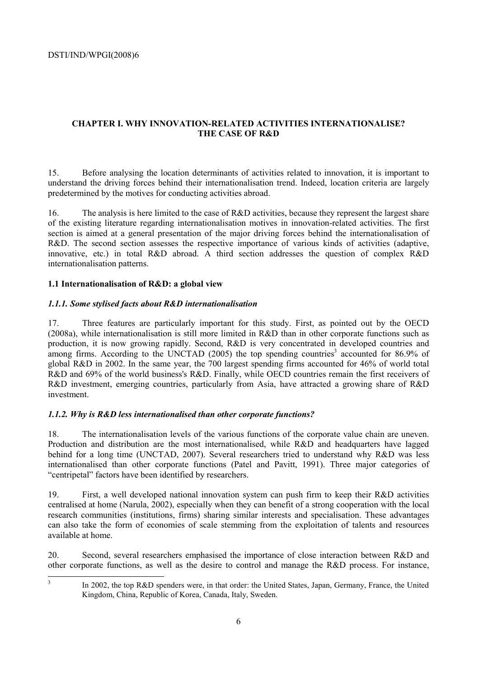# **CHAPTER I. WHY INNOVATION-RELATED ACTIVITIES INTERNATIONALISE? THE CASE OF R&D**

15. Before analysing the location determinants of activities related to innovation, it is important to understand the driving forces behind their internationalisation trend. Indeed, location criteria are largely predetermined by the motives for conducting activities abroad.

16. The analysis is here limited to the case of R&D activities, because they represent the largest share of the existing literature regarding internationalisation motives in innovation-related activities. The first section is aimed at a general presentation of the major driving forces behind the internationalisation of R&D. The second section assesses the respective importance of various kinds of activities (adaptive, innovative, etc.) in total R&D abroad. A third section addresses the question of complex R&D internationalisation patterns.

### **1.1 Internationalisation of R&D: a global view**

### *1.1.1. Some stylised facts about R&D internationalisation*

17. Three features are particularly important for this study. First, as pointed out by the OECD (2008a), while internationalisation is still more limited in R&D than in other corporate functions such as production, it is now growing rapidly. Second, R&D is very concentrated in developed countries and among firms. According to the UNCTAD (2005) the top spending countries<sup>3</sup> accounted for 86.9% of global R&D in 2002. In the same year, the 700 largest spending firms accounted for 46% of world total R&D and 69% of the world business's R&D. Finally, while OECD countries remain the first receivers of R&D investment, emerging countries, particularly from Asia, have attracted a growing share of R&D investment.

### *1.1.2. Why is R&D less internationalised than other corporate functions?*

18. The internationalisation levels of the various functions of the corporate value chain are uneven. Production and distribution are the most internationalised, while R&D and headquarters have lagged behind for a long time (UNCTAD, 2007). Several researchers tried to understand why R&D was less internationalised than other corporate functions (Patel and Pavitt, 1991). Three major categories of "centripetal" factors have been identified by researchers.

19. First, a well developed national innovation system can push firm to keep their R&D activities centralised at home (Narula, 2002), especially when they can benefit of a strong cooperation with the local research communities (institutions, firms) sharing similar interests and specialisation. These advantages can also take the form of economies of scale stemming from the exploitation of talents and resources available at home.

20. Second, several researchers emphasised the importance of close interaction between R&D and other corporate functions, as well as the desire to control and manage the R&D process. For instance,

3

In 2002, the top R&D spenders were, in that order: the United States, Japan, Germany, France, the United Kingdom, China, Republic of Korea, Canada, Italy, Sweden.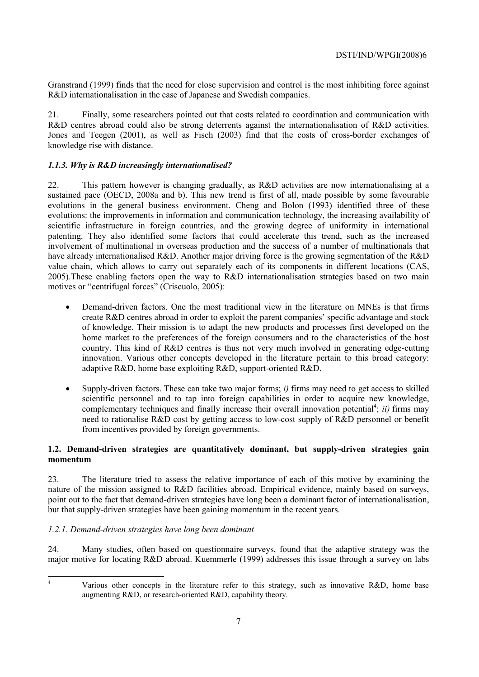Granstrand (1999) finds that the need for close supervision and control is the most inhibiting force against R&D internationalisation in the case of Japanese and Swedish companies.

21. Finally, some researchers pointed out that costs related to coordination and communication with R&D centres abroad could also be strong deterrents against the internationalisation of R&D activities. Jones and Teegen (2001), as well as Fisch (2003) find that the costs of cross-border exchanges of knowledge rise with distance.

# *1.1.3. Why is R&D increasingly internationalised?*

22. This pattern however is changing gradually, as R&D activities are now internationalising at a sustained pace (OECD, 2008a and b). This new trend is first of all, made possible by some favourable evolutions in the general business environment. Cheng and Bolon (1993) identified three of these evolutions: the improvements in information and communication technology, the increasing availability of scientific infrastructure in foreign countries, and the growing degree of uniformity in international patenting. They also identified some factors that could accelerate this trend, such as the increased involvement of multinational in overseas production and the success of a number of multinationals that have already internationalised R&D. Another major driving force is the growing segmentation of the R&D value chain, which allows to carry out separately each of its components in different locations (CAS, 2005).These enabling factors open the way to R&D internationalisation strategies based on two main motives or "centrifugal forces" (Criscuolo, 2005):

- Demand-driven factors. One the most traditional view in the literature on MNEs is that firms create R&D centres abroad in order to exploit the parent companies' specific advantage and stock of knowledge. Their mission is to adapt the new products and processes first developed on the home market to the preferences of the foreign consumers and to the characteristics of the host country. This kind of R&D centres is thus not very much involved in generating edge-cutting innovation. Various other concepts developed in the literature pertain to this broad category: adaptive R&D, home base exploiting R&D, support-oriented R&D.
- Supply-driven factors. These can take two major forms; *i*) firms may need to get access to skilled scientific personnel and to tap into foreign capabilities in order to acquire new knowledge, complementary techniques and finally increase their overall innovation potential<sup>4</sup>; *ii*) firms may need to rationalise R&D cost by getting access to low-cost supply of R&D personnel or benefit from incentives provided by foreign governments.

# **1.2. Demand-driven strategies are quantitatively dominant, but supply-driven strategies gain momentum**

23. The literature tried to assess the relative importance of each of this motive by examining the nature of the mission assigned to R&D facilities abroad. Empirical evidence, mainly based on surveys, point out to the fact that demand-driven strategies have long been a dominant factor of internationalisation, but that supply-driven strategies have been gaining momentum in the recent years.

# *1.2.1. Demand-driven strategies have long been dominant*

24. Many studies, often based on questionnaire surveys, found that the adaptive strategy was the major motive for locating R&D abroad. Kuemmerle (1999) addresses this issue through a survey on labs

 $\frac{1}{4}$ 

Various other concepts in the literature refer to this strategy, such as innovative R&D, home base augmenting R&D, or research-oriented R&D, capability theory.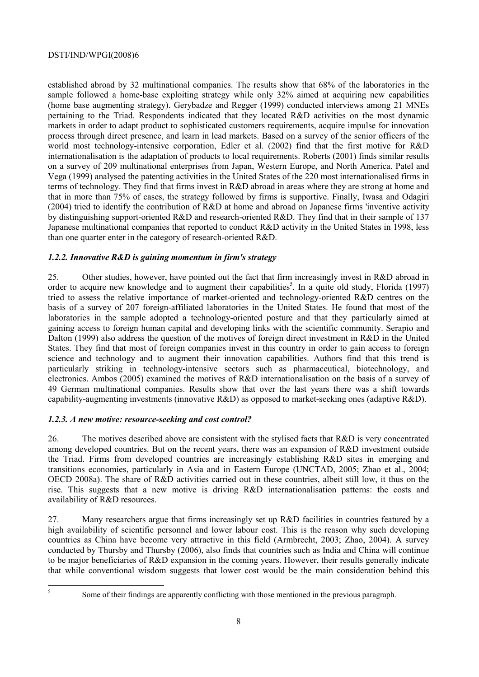established abroad by 32 multinational companies. The results show that 68% of the laboratories in the sample followed a home-base exploiting strategy while only 32% aimed at acquiring new capabilities (home base augmenting strategy). Gerybadze and Regger (1999) conducted interviews among 21 MNEs pertaining to the Triad. Respondents indicated that they located R&D activities on the most dynamic markets in order to adapt product to sophisticated customers requirements, acquire impulse for innovation process through direct presence, and learn in lead markets. Based on a survey of the senior officers of the world most technology-intensive corporation, Edler et al. (2002) find that the first motive for R&D internationalisation is the adaptation of products to local requirements. Roberts (2001) finds similar results on a survey of 209 multinational enterprises from Japan, Western Europe, and North America. Patel and Vega (1999) analysed the patenting activities in the United States of the 220 most internationalised firms in terms of technology. They find that firms invest in R&D abroad in areas where they are strong at home and that in more than 75% of cases, the strategy followed by firms is supportive. Finally, Iwasa and Odagiri (2004) tried to identify the contribution of R&D at home and abroad on Japanese firms 'inventive activity by distinguishing support-oriented R&D and research-oriented R&D. They find that in their sample of 137 Japanese multinational companies that reported to conduct R&D activity in the United States in 1998, less than one quarter enter in the category of research-oriented R&D.

# *1.2.2. Innovative R&D is gaining momentum in firm's strategy*

25. Other studies, however, have pointed out the fact that firm increasingly invest in R&D abroad in order to acquire new knowledge and to augment their capabilities<sup>5</sup>. In a quite old study, Florida (1997) tried to assess the relative importance of market-oriented and technology-oriented R&D centres on the basis of a survey of 207 foreign-affiliated laboratories in the United States. He found that most of the laboratories in the sample adopted a technology-oriented posture and that they particularly aimed at gaining access to foreign human capital and developing links with the scientific community. Serapio and Dalton (1999) also address the question of the motives of foreign direct investment in R&D in the United States. They find that most of foreign companies invest in this country in order to gain access to foreign science and technology and to augment their innovation capabilities. Authors find that this trend is particularly striking in technology-intensive sectors such as pharmaceutical, biotechnology, and electronics. Ambos (2005) examined the motives of R&D internationalisation on the basis of a survey of 49 German multinational companies. Results show that over the last years there was a shift towards capability-augmenting investments (innovative R&D) as opposed to market-seeking ones (adaptive R&D).

# *1.2.3. A new motive: resource-seeking and cost control?*

26. The motives described above are consistent with the stylised facts that R&D is very concentrated among developed countries. But on the recent years, there was an expansion of R&D investment outside the Triad. Firms from developed countries are increasingly establishing R&D sites in emerging and transitions economies, particularly in Asia and in Eastern Europe (UNCTAD, 2005; Zhao et al., 2004; OECD 2008a). The share of R&D activities carried out in these countries, albeit still low, it thus on the rise. This suggests that a new motive is driving R&D internationalisation patterns: the costs and availability of R&D resources.

27. Many researchers argue that firms increasingly set up R&D facilities in countries featured by a high availability of scientific personnel and lower labour cost. This is the reason why such developing countries as China have become very attractive in this field (Armbrecht, 2003; Zhao, 2004). A survey conducted by Thursby and Thursby (2006), also finds that countries such as India and China will continue to be major beneficiaries of R&D expansion in the coming years. However, their results generally indicate that while conventional wisdom suggests that lower cost would be the main consideration behind this

5

Some of their findings are apparently conflicting with those mentioned in the previous paragraph.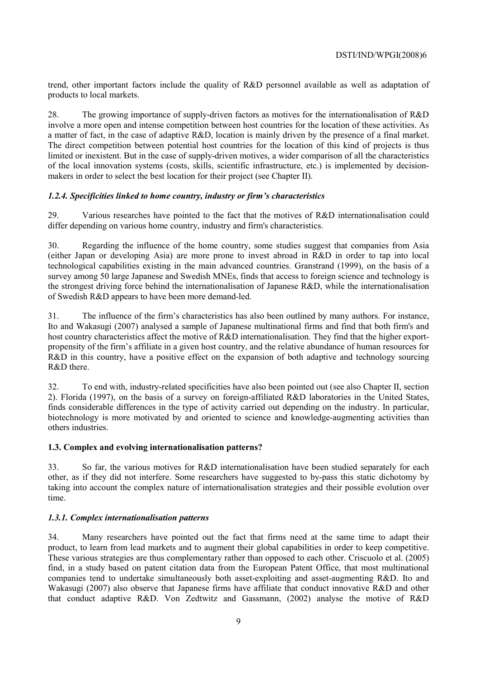trend, other important factors include the quality of R&D personnel available as well as adaptation of products to local markets.

28. The growing importance of supply-driven factors as motives for the internationalisation of R&D involve a more open and intense competition between host countries for the location of these activities. As a matter of fact, in the case of adaptive R&D, location is mainly driven by the presence of a final market. The direct competition between potential host countries for the location of this kind of projects is thus limited or inexistent. But in the case of supply-driven motives, a wider comparison of all the characteristics of the local innovation systems (costs, skills, scientific infrastructure, etc.) is implemented by decisionmakers in order to select the best location for their project (see Chapter II).

# *1.2.4. Specificities linked to home country, industry or firm's characteristics*

29. Various researches have pointed to the fact that the motives of R&D internationalisation could differ depending on various home country, industry and firm's characteristics.

30. Regarding the influence of the home country, some studies suggest that companies from Asia (either Japan or developing Asia) are more prone to invest abroad in R&D in order to tap into local technological capabilities existing in the main advanced countries. Granstrand (1999), on the basis of a survey among 50 large Japanese and Swedish MNEs, finds that access to foreign science and technology is the strongest driving force behind the internationalisation of Japanese R&D, while the internationalisation of Swedish R&D appears to have been more demand-led.

31. The influence of the firm's characteristics has also been outlined by many authors. For instance, Ito and Wakasugi (2007) analysed a sample of Japanese multinational firms and find that both firm's and host country characteristics affect the motive of R&D internationalisation. They find that the higher exportpropensity of the firm's affiliate in a given host country, and the relative abundance of human resources for R&D in this country, have a positive effect on the expansion of both adaptive and technology sourcing R&D there.

32. To end with, industry-related specificities have also been pointed out (see also Chapter II, section 2). Florida (1997), on the basis of a survey on foreign-affiliated R&D laboratories in the United States, finds considerable differences in the type of activity carried out depending on the industry. In particular, biotechnology is more motivated by and oriented to science and knowledge-augmenting activities than others industries.

### **1.3. Complex and evolving internationalisation patterns?**

33. So far, the various motives for R&D internationalisation have been studied separately for each other, as if they did not interfere. Some researchers have suggested to by-pass this static dichotomy by taking into account the complex nature of internationalisation strategies and their possible evolution over time.

### *1.3.1. Complex internationalisation patterns*

34. Many researchers have pointed out the fact that firms need at the same time to adapt their product, to learn from lead markets and to augment their global capabilities in order to keep competitive. These various strategies are thus complementary rather than opposed to each other. Criscuolo et al. (2005) find, in a study based on patent citation data from the European Patent Office, that most multinational companies tend to undertake simultaneously both asset-exploiting and asset-augmenting R&D. Ito and Wakasugi (2007) also observe that Japanese firms have affiliate that conduct innovative R&D and other that conduct adaptive R&D. Von Zedtwitz and Gassmann, (2002) analyse the motive of R&D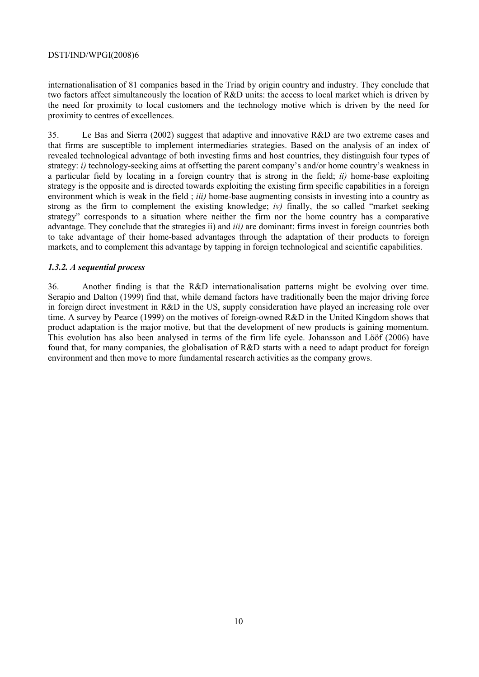internationalisation of 81 companies based in the Triad by origin country and industry. They conclude that two factors affect simultaneously the location of R&D units: the access to local market which is driven by the need for proximity to local customers and the technology motive which is driven by the need for proximity to centres of excellences.

35. Le Bas and Sierra (2002) suggest that adaptive and innovative R&D are two extreme cases and that firms are susceptible to implement intermediaries strategies. Based on the analysis of an index of revealed technological advantage of both investing firms and host countries, they distinguish four types of strategy: *i*) technology-seeking aims at offsetting the parent company's and/or home country's weakness in a particular field by locating in a foreign country that is strong in the field; *ii)* home-base exploiting strategy is the opposite and is directed towards exploiting the existing firm specific capabilities in a foreign environment which is weak in the field ; *iii)* home-base augmenting consists in investing into a country as strong as the firm to complement the existing knowledge; *iv)* finally, the so called "market seeking strategy" corresponds to a situation where neither the firm nor the home country has a comparative advantage. They conclude that the strategies ii) and *iii)* are dominant: firms invest in foreign countries both to take advantage of their home-based advantages through the adaptation of their products to foreign markets, and to complement this advantage by tapping in foreign technological and scientific capabilities.

# *1.3.2. A sequential process*

36. Another finding is that the R&D internationalisation patterns might be evolving over time. Serapio and Dalton (1999) find that, while demand factors have traditionally been the major driving force in foreign direct investment in R&D in the US, supply consideration have played an increasing role over time. A survey by Pearce (1999) on the motives of foreign-owned R&D in the United Kingdom shows that product adaptation is the major motive, but that the development of new products is gaining momentum. This evolution has also been analysed in terms of the firm life cycle. Johansson and Lööf (2006) have found that, for many companies, the globalisation of R&D starts with a need to adapt product for foreign environment and then move to more fundamental research activities as the company grows.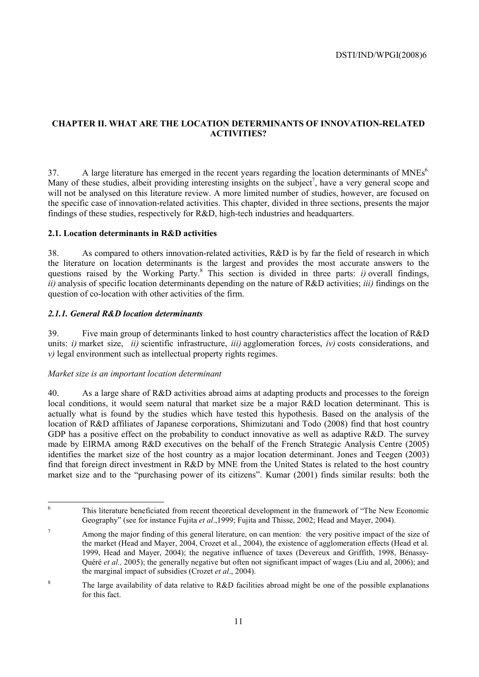# **CHAPTER II. WHAT ARE THE LOCATION DETERMINANTS OF INNOVATION-RELATED ACTIVITIES?**

 $37.$  A large literature has emerged in the recent years regarding the location determinants of MNEs<sup>6.</sup> Many of these studies, albeit providing interesting insights on the subject<sup>7</sup>, have a very general scope and will not be analysed on this literature review. A more limited number of studies, however, are focused on the specific case of innovation-related activities. This chapter, divided in three sections, presents the major findings of these studies, respectively for R&D, high-tech industries and headquarters.

### **2.1. Location determinants in R&D activities**

38. As compared to others innovation-related activities, R&D is by far the field of research in which the literature on location determinants is the largest and provides the most accurate answers to the questions raised by the Working Party.<sup>8</sup> This section is divided in three parts: *i)* overall findings, *ii)* analysis of specific location determinants depending on the nature of R&D activities; *iii)* findings on the question of co-location with other activities of the firm.

# *2.1.1. General R&D location determinants*

39. Five main group of determinants linked to host country characteristics affect the location of R&D units: *i)* market size, *ii)* scientific infrastructure, *iii)* agglomeration forces, *iv)* costs considerations, and *v)* legal environment such as intellectual property rights regimes.

### *Market size is an important location determinant*

6

40. As a large share of R&D activities abroad aims at adapting products and processes to the foreign local conditions, it would seem natural that market size be a major R&D location determinant. This is actually what is found by the studies which have tested this hypothesis. Based on the analysis of the location of R&D affiliates of Japanese corporations, Shimizutani and Todo (2008) find that host country GDP has a positive effect on the probability to conduct innovative as well as adaptive R&D. The survey made by EIRMA among R&D executives on the behalf of the French Strategic Analysis Centre (2005) identifies the market size of the host country as a major location determinant. Jones and Teegen (2003) find that foreign direct investment in R&D by MNE from the United States is related to the host country market size and to the "purchasing power of its citizens". Kumar (2001) finds similar results: both the

This literature beneficiated from recent theoretical development in the framework of "The New Economic Geography" (see for instance Fujita *et al*.,1999; Fujita and Thisse, 2002; Head and Mayer, 2004).

<sup>7</sup> Among the major finding of this general literature, on can mention: the very positive impact of the size of the market (Head and Mayer, 2004, Crozet et al., 2004), the existence of agglomeration effects (Head et al. 1999, Head and Mayer, 2004); the negative influence of taxes (Devereux and Griffith, 1998, Bénassy-Quéré *et al.*, 2005); the generally negative but often not significant impact of wages (Liu and al, 2006); and the marginal impact of subsidies (Crozet *et al*., 2004).

<sup>8</sup> The large availability of data relative to R&D facilities abroad might be one of the possible explanations for this fact.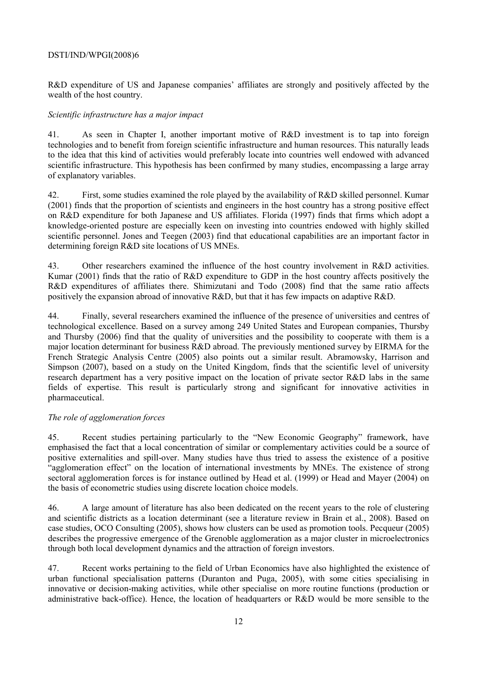R&D expenditure of US and Japanese companies' affiliates are strongly and positively affected by the wealth of the host country.

## *Scientific infrastructure has a major impact*

41. As seen in Chapter I, another important motive of R&D investment is to tap into foreign technologies and to benefit from foreign scientific infrastructure and human resources. This naturally leads to the idea that this kind of activities would preferably locate into countries well endowed with advanced scientific infrastructure. This hypothesis has been confirmed by many studies, encompassing a large array of explanatory variables.

42. First, some studies examined the role played by the availability of R&D skilled personnel. Kumar (2001) finds that the proportion of scientists and engineers in the host country has a strong positive effect on R&D expenditure for both Japanese and US affiliates. Florida (1997) finds that firms which adopt a knowledge-oriented posture are especially keen on investing into countries endowed with highly skilled scientific personnel. Jones and Teegen (2003) find that educational capabilities are an important factor in determining foreign R&D site locations of US MNEs.

43. Other researchers examined the influence of the host country involvement in R&D activities. Kumar (2001) finds that the ratio of R&D expenditure to GDP in the host country affects positively the R&D expenditures of affiliates there. Shimizutani and Todo (2008) find that the same ratio affects positively the expansion abroad of innovative R&D, but that it has few impacts on adaptive R&D.

44. Finally, several researchers examined the influence of the presence of universities and centres of technological excellence. Based on a survey among 249 United States and European companies, Thursby and Thursby (2006) find that the quality of universities and the possibility to cooperate with them is a major location determinant for business R&D abroad. The previously mentioned survey by EIRMA for the French Strategic Analysis Centre (2005) also points out a similar result. Abramowsky, Harrison and Simpson (2007), based on a study on the United Kingdom, finds that the scientific level of university research department has a very positive impact on the location of private sector R&D labs in the same fields of expertise. This result is particularly strong and significant for innovative activities in pharmaceutical.

# *The role of agglomeration forces*

45. Recent studies pertaining particularly to the "New Economic Geography" framework, have emphasised the fact that a local concentration of similar or complementary activities could be a source of positive externalities and spill-over. Many studies have thus tried to assess the existence of a positive "agglomeration effect" on the location of international investments by MNEs. The existence of strong sectoral agglomeration forces is for instance outlined by Head et al. (1999) or Head and Mayer (2004) on the basis of econometric studies using discrete location choice models.

46. A large amount of literature has also been dedicated on the recent years to the role of clustering and scientific districts as a location determinant (see a literature review in Brain et al., 2008). Based on case studies, OCO Consulting (2005), shows how clusters can be used as promotion tools. Pecqueur (2005) describes the progressive emergence of the Grenoble agglomeration as a major cluster in microelectronics through both local development dynamics and the attraction of foreign investors.

47. Recent works pertaining to the field of Urban Economics have also highlighted the existence of urban functional specialisation patterns (Duranton and Puga, 2005), with some cities specialising in innovative or decision-making activities, while other specialise on more routine functions (production or administrative back-office). Hence, the location of headquarters or R&D would be more sensible to the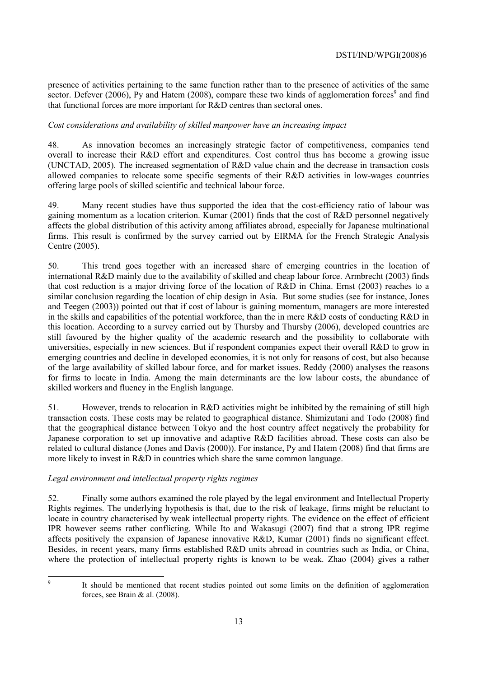presence of activities pertaining to the same function rather than to the presence of activities of the same sector. Defever (2006), Py and Hatem (2008), compare these two kinds of agglomeration forces<sup>9</sup> and find that functional forces are more important for R&D centres than sectoral ones.

# *Cost considerations and availability of skilled manpower have an increasing impact*

48. As innovation becomes an increasingly strategic factor of competitiveness, companies tend overall to increase their R&D effort and expenditures. Cost control thus has become a growing issue (UNCTAD, 2005). The increased segmentation of R&D value chain and the decrease in transaction costs allowed companies to relocate some specific segments of their R&D activities in low-wages countries offering large pools of skilled scientific and technical labour force.

49. Many recent studies have thus supported the idea that the cost-efficiency ratio of labour was gaining momentum as a location criterion. Kumar (2001) finds that the cost of R&D personnel negatively affects the global distribution of this activity among affiliates abroad, especially for Japanese multinational firms. This result is confirmed by the survey carried out by EIRMA for the French Strategic Analysis Centre (2005).

50. This trend goes together with an increased share of emerging countries in the location of international R&D mainly due to the availability of skilled and cheap labour force. Armbrecht (2003) finds that cost reduction is a major driving force of the location of R&D in China. Ernst (2003) reaches to a similar conclusion regarding the location of chip design in Asia. But some studies (see for instance, Jones and Teegen (2003)) pointed out that if cost of labour is gaining momentum, managers are more interested in the skills and capabilities of the potential workforce, than the in mere R&D costs of conducting R&D in this location. According to a survey carried out by Thursby and Thursby (2006), developed countries are still favoured by the higher quality of the academic research and the possibility to collaborate with universities, especially in new sciences. But if respondent companies expect their overall R&D to grow in emerging countries and decline in developed economies, it is not only for reasons of cost, but also because of the large availability of skilled labour force, and for market issues. Reddy (2000) analyses the reasons for firms to locate in India. Among the main determinants are the low labour costs, the abundance of skilled workers and fluency in the English language.

51. However, trends to relocation in R&D activities might be inhibited by the remaining of still high transaction costs. These costs may be related to geographical distance. Shimizutani and Todo (2008) find that the geographical distance between Tokyo and the host country affect negatively the probability for Japanese corporation to set up innovative and adaptive R&D facilities abroad. These costs can also be related to cultural distance (Jones and Davis (2000)). For instance, Py and Hatem (2008) find that firms are more likely to invest in R&D in countries which share the same common language.

### *Legal environment and intellectual property rights regimes*

52. Finally some authors examined the role played by the legal environment and Intellectual Property Rights regimes. The underlying hypothesis is that, due to the risk of leakage, firms might be reluctant to locate in country characterised by weak intellectual property rights. The evidence on the effect of efficient IPR however seems rather conflicting. While Ito and Wakasugi (2007) find that a strong IPR regime affects positively the expansion of Japanese innovative R&D, Kumar (2001) finds no significant effect. Besides, in recent years, many firms established R&D units abroad in countries such as India, or China, where the protection of intellectual property rights is known to be weak. Zhao (2004) gives a rather

-<br>9

It should be mentioned that recent studies pointed out some limits on the definition of agglomeration forces, see Brain & al. (2008).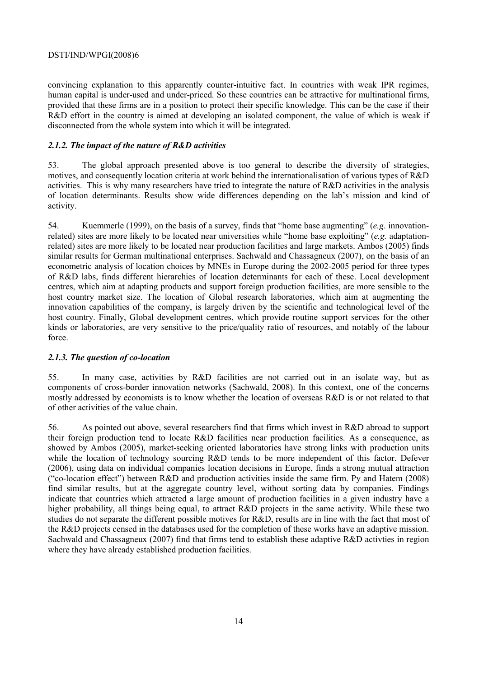convincing explanation to this apparently counter-intuitive fact. In countries with weak IPR regimes, human capital is under-used and under-priced. So these countries can be attractive for multinational firms, provided that these firms are in a position to protect their specific knowledge. This can be the case if their R&D effort in the country is aimed at developing an isolated component, the value of which is weak if disconnected from the whole system into which it will be integrated.

# *2.1.2. The impact of the nature of R&D activities*

53. The global approach presented above is too general to describe the diversity of strategies, motives, and consequently location criteria at work behind the internationalisation of various types of R&D activities. This is why many researchers have tried to integrate the nature of R&D activities in the analysis of location determinants. Results show wide differences depending on the lab's mission and kind of activity.

54. Kuemmerle (1999), on the basis of a survey, finds that "home base augmenting" (*e.g.* innovationrelated) sites are more likely to be located near universities while "home base exploiting" (*e.g.* adaptationrelated) sites are more likely to be located near production facilities and large markets. Ambos (2005) finds similar results for German multinational enterprises. Sachwald and Chassagneux (2007), on the basis of an econometric analysis of location choices by MNEs in Europe during the 2002-2005 period for three types of R&D labs, finds different hierarchies of location determinants for each of these. Local development centres, which aim at adapting products and support foreign production facilities, are more sensible to the host country market size. The location of Global research laboratories, which aim at augmenting the innovation capabilities of the company, is largely driven by the scientific and technological level of the host country. Finally, Global development centres, which provide routine support services for the other kinds or laboratories, are very sensitive to the price/quality ratio of resources, and notably of the labour force.

# *2.1.3. The question of co-location*

55. In many case, activities by R&D facilities are not carried out in an isolate way, but as components of cross-border innovation networks (Sachwald, 2008). In this context, one of the concerns mostly addressed by economists is to know whether the location of overseas R&D is or not related to that of other activities of the value chain.

56. As pointed out above, several researchers find that firms which invest in R&D abroad to support their foreign production tend to locate R&D facilities near production facilities. As a consequence, as showed by Ambos (2005), market-seeking oriented laboratories have strong links with production units while the location of technology sourcing R&D tends to be more independent of this factor. Defever (2006), using data on individual companies location decisions in Europe, finds a strong mutual attraction ("co-location effect") between R&D and production activities inside the same firm. Py and Hatem (2008) find similar results, but at the aggregate country level, without sorting data by companies. Findings indicate that countries which attracted a large amount of production facilities in a given industry have a higher probability, all things being equal, to attract R&D projects in the same activity. While these two studies do not separate the different possible motives for R&D, results are in line with the fact that most of the R&D projects censed in the databases used for the completion of these works have an adaptive mission. Sachwald and Chassagneux (2007) find that firms tend to establish these adaptive R&D activties in region where they have already established production facilities.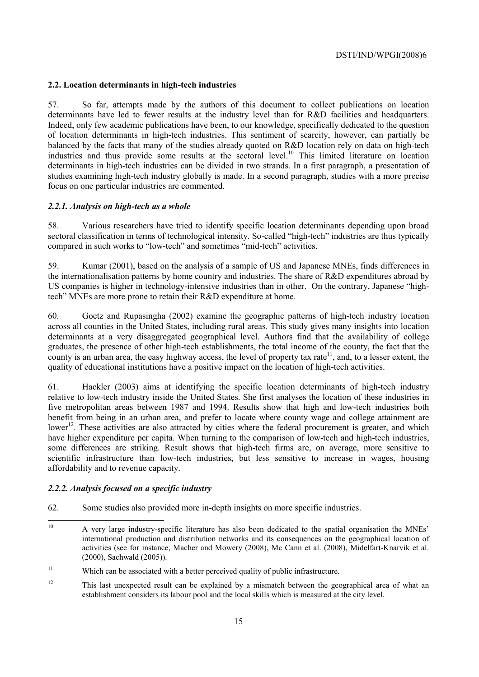# **2.2. Location determinants in high-tech industries**

57. So far, attempts made by the authors of this document to collect publications on location determinants have led to fewer results at the industry level than for R&D facilities and headquarters. Indeed, only few academic publications have been, to our knowledge, specifically dedicated to the question of location determinants in high-tech industries. This sentiment of scarcity, however, can partially be balanced by the facts that many of the studies already quoted on R&D location rely on data on high-tech industries and thus provide some results at the sectoral level.10 This limited literature on location determinants in high-tech industries can be divided in two strands. In a first paragraph, a presentation of studies examining high-tech industry globally is made. In a second paragraph, studies with a more precise focus on one particular industries are commented.

### *2.2.1. Analysis on high-tech as a whole*

58. Various researchers have tried to identify specific location determinants depending upon broad sectoral classification in terms of technological intensity. So-called "high-tech" industries are thus typically compared in such works to "low-tech" and sometimes "mid-tech" activities.

59. Kumar (2001), based on the analysis of a sample of US and Japanese MNEs, finds differences in the internationalisation patterns by home country and industries. The share of R&D expenditures abroad by US companies is higher in technology-intensive industries than in other. On the contrary, Japanese "hightech" MNEs are more prone to retain their R&D expenditure at home.

60. Goetz and Rupasingha (2002) examine the geographic patterns of high-tech industry location across all counties in the United States, including rural areas. This study gives many insights into location determinants at a very disaggregated geographical level. Authors find that the availability of college graduates, the presence of other high-tech establishments, the total income of the county, the fact that the county is an urban area, the easy highway access, the level of property tax rate<sup>11</sup>, and, to a lesser extent, the quality of educational institutions have a positive impact on the location of high-tech activities.

61. Hackler (2003) aims at identifying the specific location determinants of high-tech industry relative to low-tech industry inside the United States. She first analyses the location of these industries in five metropolitan areas between 1987 and 1994. Results show that high and low-tech industries both benefit from being in an urban area, and prefer to locate where county wage and college attainment are lower<sup>12</sup>. These activities are also attracted by cities where the federal procurement is greater, and which have higher expenditure per capita. When turning to the comparison of low-tech and high-tech industries, some differences are striking. Result shows that high-tech firms are, on average, more sensitive to scientific infrastructure than low-tech industries, but less sensitive to increase in wages, housing affordability and to revenue capacity.

### *2.2.2. Analysis focused on a specific industry*

62. Some studies also provided more in-depth insights on more specific industries.

 $10<sup>1</sup>$ 10 A very large industry-specific literature has also been dedicated to the spatial organisation the MNEs' international production and distribution networks and its consequences on the geographical location of activities (see for instance, Macher and Mowery (2008), Mc Cann et al. (2008), Midelfart-Knarvik et al. (2000), Sachwald (2005)).

<sup>&</sup>lt;sup>11</sup> Which can be associated with a better perceived quality of public infrastructure.

<sup>&</sup>lt;sup>12</sup> This last unexpected result can be explained by a mismatch between the geographical area of what an establishment considers its labour pool and the local skills which is measured at the city level.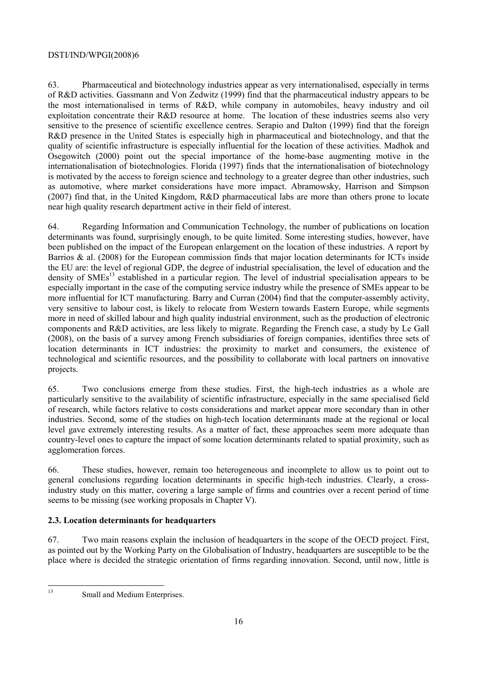63. Pharmaceutical and biotechnology industries appear as very internationalised, especially in terms of R&D activities. Gassmann and Von Zedwitz (1999) find that the pharmaceutical industry appears to be the most internationalised in terms of R&D, while company in automobiles, heavy industry and oil exploitation concentrate their R&D resource at home. The location of these industries seems also very sensitive to the presence of scientific excellence centres. Serapio and Dalton (1999) find that the foreign R&D presence in the United States is especially high in pharmaceutical and biotechnology, and that the quality of scientific infrastructure is especially influential for the location of these activities. Madhok and Osegowitch (2000) point out the special importance of the home-base augmenting motive in the internationalisation of biotechnologies. Florida (1997) finds that the internationalisation of biotechnology is motivated by the access to foreign science and technology to a greater degree than other industries, such as automotive, where market considerations have more impact. Abramowsky, Harrison and Simpson (2007) find that, in the United Kingdom, R&D pharmaceutical labs are more than others prone to locate near high quality research department active in their field of interest.

64. Regarding Information and Communication Technology, the number of publications on location determinants was found, surprisingly enough, to be quite limited. Some interesting studies, however, have been published on the impact of the European enlargement on the location of these industries. A report by Barrios & al. (2008) for the European commission finds that major location determinants for ICTs inside the EU are: the level of regional GDP, the degree of industrial specialisation, the level of education and the density of SMEs<sup>13</sup> established in a particular region. The level of industrial specialisation appears to be especially important in the case of the computing service industry while the presence of SMEs appear to be more influential for ICT manufacturing. Barry and Curran (2004) find that the computer-assembly activity, very sensitive to labour cost, is likely to relocate from Western towards Eastern Europe, while segments more in need of skilled labour and high quality industrial environment, such as the production of electronic components and R&D activities, are less likely to migrate. Regarding the French case, a study by Le Gall (2008), on the basis of a survey among French subsidiaries of foreign companies, identifies three sets of location determinants in ICT industries: the proximity to market and consumers, the existence of technological and scientific resources, and the possibility to collaborate with local partners on innovative projects.

65. Two conclusions emerge from these studies. First, the high-tech industries as a whole are particularly sensitive to the availability of scientific infrastructure, especially in the same specialised field of research, while factors relative to costs considerations and market appear more secondary than in other industries. Second, some of the studies on high-tech location determinants made at the regional or local level gave extremely interesting results. As a matter of fact, these approaches seem more adequate than country-level ones to capture the impact of some location determinants related to spatial proximity, such as agglomeration forces.

66. These studies, however, remain too heterogeneous and incomplete to allow us to point out to general conclusions regarding location determinants in specific high-tech industries. Clearly, a crossindustry study on this matter, covering a large sample of firms and countries over a recent period of time seems to be missing (see working proposals in Chapter V).

# **2.3. Location determinants for headquarters**

67. Two main reasons explain the inclusion of headquarters in the scope of the OECD project. First, as pointed out by the Working Party on the Globalisation of Industry, headquarters are susceptible to be the place where is decided the strategic orientation of firms regarding innovation. Second, until now, little is

 $13$ 

Small and Medium Enterprises.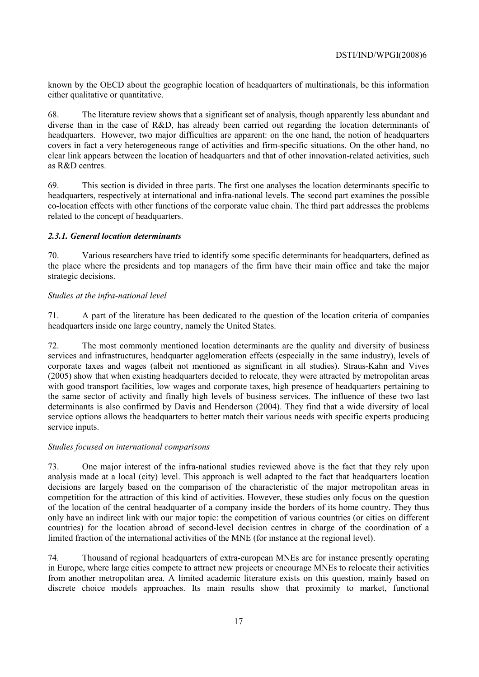known by the OECD about the geographic location of headquarters of multinationals, be this information either qualitative or quantitative.

68. The literature review shows that a significant set of analysis, though apparently less abundant and diverse than in the case of R&D, has already been carried out regarding the location determinants of headquarters. However, two major difficulties are apparent: on the one hand, the notion of headquarters covers in fact a very heterogeneous range of activities and firm-specific situations. On the other hand, no clear link appears between the location of headquarters and that of other innovation-related activities, such as R&D centres.

69. This section is divided in three parts. The first one analyses the location determinants specific to headquarters, respectively at international and infra-national levels. The second part examines the possible co-location effects with other functions of the corporate value chain. The third part addresses the problems related to the concept of headquarters.

# *2.3.1. General location determinants*

70. Various researchers have tried to identify some specific determinants for headquarters, defined as the place where the presidents and top managers of the firm have their main office and take the major strategic decisions.

### *Studies at the infra-national level*

71. A part of the literature has been dedicated to the question of the location criteria of companies headquarters inside one large country, namely the United States.

72. The most commonly mentioned location determinants are the quality and diversity of business services and infrastructures, headquarter agglomeration effects (especially in the same industry), levels of corporate taxes and wages (albeit not mentioned as significant in all studies). Straus-Kahn and Vives (2005) show that when existing headquarters decided to relocate, they were attracted by metropolitan areas with good transport facilities, low wages and corporate taxes, high presence of headquarters pertaining to the same sector of activity and finally high levels of business services. The influence of these two last determinants is also confirmed by Davis and Henderson (2004). They find that a wide diversity of local service options allows the headquarters to better match their various needs with specific experts producing service inputs.

### *Studies focused on international comparisons*

73. One major interest of the infra-national studies reviewed above is the fact that they rely upon analysis made at a local (city) level. This approach is well adapted to the fact that headquarters location decisions are largely based on the comparison of the characteristic of the major metropolitan areas in competition for the attraction of this kind of activities. However, these studies only focus on the question of the location of the central headquarter of a company inside the borders of its home country. They thus only have an indirect link with our major topic: the competition of various countries (or cities on different countries) for the location abroad of second-level decision centres in charge of the coordination of a limited fraction of the international activities of the MNE (for instance at the regional level).

74. Thousand of regional headquarters of extra-european MNEs are for instance presently operating in Europe, where large cities compete to attract new projects or encourage MNEs to relocate their activities from another metropolitan area. A limited academic literature exists on this question, mainly based on discrete choice models approaches. Its main results show that proximity to market, functional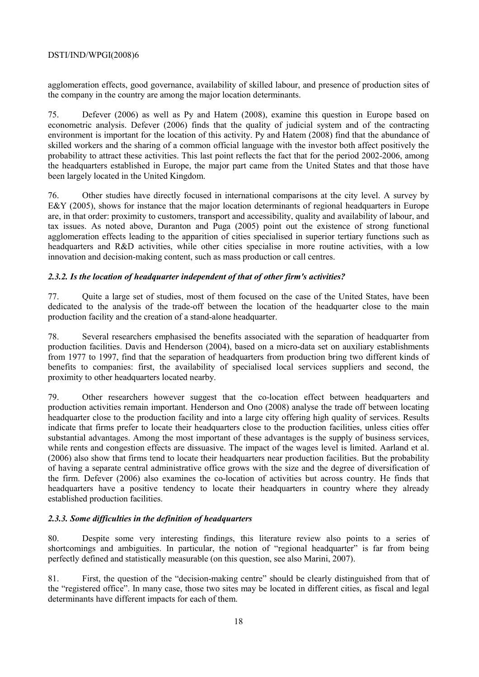agglomeration effects, good governance, availability of skilled labour, and presence of production sites of the company in the country are among the major location determinants.

75. Defever (2006) as well as Py and Hatem (2008), examine this question in Europe based on econometric analysis. Defever (2006) finds that the quality of judicial system and of the contracting environment is important for the location of this activity. Py and Hatem (2008) find that the abundance of skilled workers and the sharing of a common official language with the investor both affect positively the probability to attract these activities. This last point reflects the fact that for the period 2002-2006, among the headquarters established in Europe, the major part came from the United States and that those have been largely located in the United Kingdom.

76. Other studies have directly focused in international comparisons at the city level. A survey by E&Y (2005), shows for instance that the major location determinants of regional headquarters in Europe are, in that order: proximity to customers, transport and accessibility, quality and availability of labour, and tax issues. As noted above, Duranton and Puga (2005) point out the existence of strong functional agglomeration effects leading to the apparition of cities specialised in superior tertiary functions such as headquarters and R&D activities, while other cities specialise in more routine activities, with a low innovation and decision-making content, such as mass production or call centres.

# *2.3.2. Is the location of headquarter independent of that of other firm's activities?*

77. Quite a large set of studies, most of them focused on the case of the United States, have been dedicated to the analysis of the trade-off between the location of the headquarter close to the main production facility and the creation of a stand-alone headquarter.

78. Several researchers emphasised the benefits associated with the separation of headquarter from production facilities. Davis and Henderson (2004), based on a micro-data set on auxiliary establishments from 1977 to 1997, find that the separation of headquarters from production bring two different kinds of benefits to companies: first, the availability of specialised local services suppliers and second, the proximity to other headquarters located nearby.

79. Other researchers however suggest that the co-location effect between headquarters and production activities remain important. Henderson and Ono (2008) analyse the trade off between locating headquarter close to the production facility and into a large city offering high quality of services. Results indicate that firms prefer to locate their headquarters close to the production facilities, unless cities offer substantial advantages. Among the most important of these advantages is the supply of business services, while rents and congestion effects are dissuasive. The impact of the wages level is limited. Aarland et al. (2006) also show that firms tend to locate their headquarters near production facilities. But the probability of having a separate central administrative office grows with the size and the degree of diversification of the firm. Defever (2006) also examines the co-location of activities but across country. He finds that headquarters have a positive tendency to locate their headquarters in country where they already established production facilities.

# *2.3.3. Some difficulties in the definition of headquarters*

80. Despite some very interesting findings, this literature review also points to a series of shortcomings and ambiguities. In particular, the notion of "regional headquarter" is far from being perfectly defined and statistically measurable (on this question, see also Marini, 2007).

81. First, the question of the "decision-making centre" should be clearly distinguished from that of the "registered office". In many case, those two sites may be located in different cities, as fiscal and legal determinants have different impacts for each of them.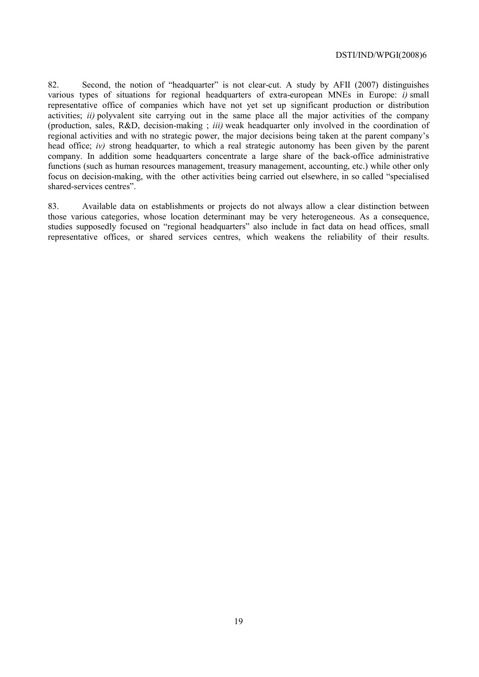82. Second, the notion of "headquarter" is not clear-cut. A study by AFII (2007) distinguishes various types of situations for regional headquarters of extra-european MNEs in Europe: *i)* small representative office of companies which have not yet set up significant production or distribution activities; *ii)* polyvalent site carrying out in the same place all the major activities of the company (production, sales, R&D, decision-making ; *iii)* weak headquarter only involved in the coordination of regional activities and with no strategic power, the major decisions being taken at the parent company's head office; *iv)* strong headquarter, to which a real strategic autonomy has been given by the parent company. In addition some headquarters concentrate a large share of the back-office administrative functions (such as human resources management, treasury management, accounting, etc.) while other only focus on decision-making, with the other activities being carried out elsewhere, in so called "specialised shared-services centres".

83. Available data on establishments or projects do not always allow a clear distinction between those various categories, whose location determinant may be very heterogeneous. As a consequence, studies supposedly focused on "regional headquarters" also include in fact data on head offices, small representative offices, or shared services centres, which weakens the reliability of their results.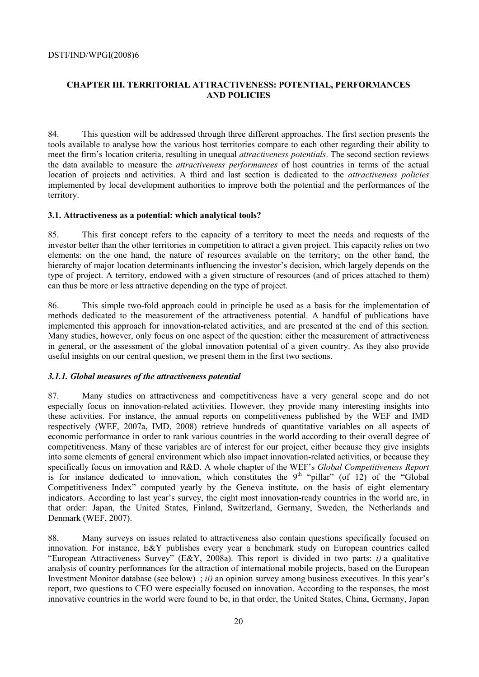# **CHAPTER III. TERRITORIAL ATTRACTIVENESS: POTENTIAL, PERFORMANCES AND POLICIES**

84. This question will be addressed through three different approaches. The first section presents the tools available to analyse how the various host territories compare to each other regarding their ability to meet the firm's location criteria, resulting in unequal *attractiveness potentials*. The second section reviews the data available to measure the *attractiveness performances* of host countries in terms of the actual location of projects and activities. A third and last section is dedicated to the *attractiveness policies*  implemented by local development authorities to improve both the potential and the performances of the territory.

### **3.1. Attractiveness as a potential: which analytical tools?**

85. This first concept refers to the capacity of a territory to meet the needs and requests of the investor better than the other territories in competition to attract a given project. This capacity relies on two elements: on the one hand, the nature of resources available on the territory; on the other hand, the hierarchy of major location determinants influencing the investor's decision, which largely depends on the type of project. A territory, endowed with a given structure of resources (and of prices attached to them) can thus be more or less attractive depending on the type of project.

86. This simple two-fold approach could in principle be used as a basis for the implementation of methods dedicated to the measurement of the attractiveness potential. A handful of publications have implemented this approach for innovation-related activities, and are presented at the end of this section. Many studies, however, only focus on one aspect of the question: either the measurement of attractiveness in general, or the assessment of the global innovation potential of a given country. As they also provide useful insights on our central question, we present them in the first two sections.

#### *3.1.1. Global measures of the attractiveness potential*

87. Many studies on attractiveness and competitiveness have a very general scope and do not especially focus on innovation-related activities. However, they provide many interesting insights into these activities. For instance, the annual reports on competitiveness published by the WEF and IMD respectively (WEF, 2007a, IMD, 2008) retrieve hundreds of quantitative variables on all aspects of economic performance in order to rank various countries in the world according to their overall degree of competitiveness. Many of these variables are of interest for our project, either because they give insights into some elements of general environment which also impact innovation-related activities, or because they specifically focus on innovation and R&D. A whole chapter of the WEF's *Global Competitiveness Report* is for instance dedicated to innovation, which constitutes the  $9<sup>th</sup>$  "pillar" (of 12) of the "Global Competitiveness Index" computed yearly by the Geneva institute, on the basis of eight elementary indicators. According to last year's survey, the eight most innovation-ready countries in the world are, in that order: Japan, the United States, Finland, Switzerland, Germany, Sweden, the Netherlands and Denmark (WEF, 2007).

88. Many surveys on issues related to attractiveness also contain questions specifically focused on innovation. For instance, E&Y publishes every year a benchmark study on European countries called "European Attractiveness Survey" (E&Y, 2008a). This report is divided in two parts: *i)* a qualitative analysis of country performances for the attraction of international mobile projects, based on the European Investment Monitor database (see below) ; *ii)* an opinion survey among business executives. In this year's report, two questions to CEO were especially focused on innovation. According to the responses, the most innovative countries in the world were found to be, in that order, the United States, China, Germany, Japan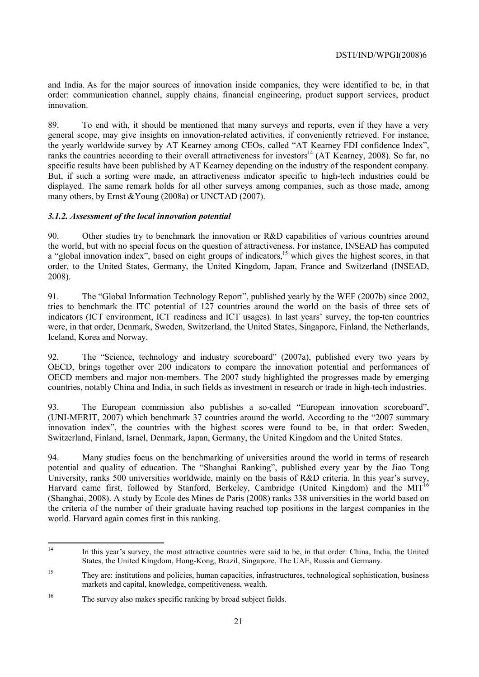and India. As for the major sources of innovation inside companies, they were identified to be, in that order: communication channel, supply chains, financial engineering, product support services, product innovation.

89. To end with, it should be mentioned that many surveys and reports, even if they have a very general scope, may give insights on innovation-related activities, if conveniently retrieved. For instance, the yearly worldwide survey by AT Kearney among CEOs, called "AT Kearney FDI confidence Index", ranks the countries according to their overall attractiveness for investors<sup>14</sup> (AT Kearney, 2008). So far, no specific results have been published by AT Kearney depending on the industry of the respondent company. But, if such a sorting were made, an attractiveness indicator specific to high-tech industries could be displayed. The same remark holds for all other surveys among companies, such as those made, among many others, by Ernst &Young (2008a) or UNCTAD (2007).

# *3.1.2. Assessment of the local innovation potential*

90. Other studies try to benchmark the innovation or R&D capabilities of various countries around the world, but with no special focus on the question of attractiveness. For instance, INSEAD has computed a "global innovation index", based on eight groups of indicators,<sup>15</sup> which gives the highest scores, in that order, to the United States, Germany, the United Kingdom, Japan, France and Switzerland (INSEAD, 2008).

91. The "Global Information Technology Report", published yearly by the WEF (2007b) since 2002, tries to benchmark the ITC potential of 127 countries around the world on the basis of three sets of indicators (ICT environment, ICT readiness and ICT usages). In last years' survey, the top-ten countries were, in that order, Denmark, Sweden, Switzerland, the United States, Singapore, Finland, the Netherlands, Iceland, Korea and Norway.

92. The "Science, technology and industry scoreboard" (2007a), published every two years by OECD, brings together over 200 indicators to compare the innovation potential and performances of OECD members and major non-members. The 2007 study highlighted the progresses made by emerging countries, notably China and India, in such fields as investment in research or trade in high-tech industries.

93. The European commission also publishes a so-called "European innovation scoreboard", (UNI-MERIT, 2007) which benchmark 37 countries around the world. According to the "2007 summary innovation index", the countries with the highest scores were found to be, in that order: Sweden, Switzerland, Finland, Israel, Denmark, Japan, Germany, the United Kingdom and the United States.

94. Many studies focus on the benchmarking of universities around the world in terms of research potential and quality of education. The "Shanghai Ranking", published every year by the Jiao Tong University, ranks 500 universities worldwide, mainly on the basis of R&D criteria. In this year's survey, Harvard came first, followed by Stanford, Berkeley, Cambridge (United Kingdom) and the MIT<sup>16</sup> (Shanghai, 2008). A study by Ecole des Mines de Paris (2008) ranks 338 universities in the world based on the criteria of the number of their graduate having reached top positions in the largest companies in the world. Harvard again comes first in this ranking.

 $14$ 14 In this year's survey, the most attractive countries were said to be, in that order: China, India, the United States, the United Kingdom, Hong-Kong, Brazil, Singapore, The UAE, Russia and Germany.

<sup>&</sup>lt;sup>15</sup> They are: institutions and policies, human capacities, infrastructures, technological sophistication, business markets and capital, knowledge, competitiveness, wealth.

<sup>16</sup> The survey also makes specific ranking by broad subject fields.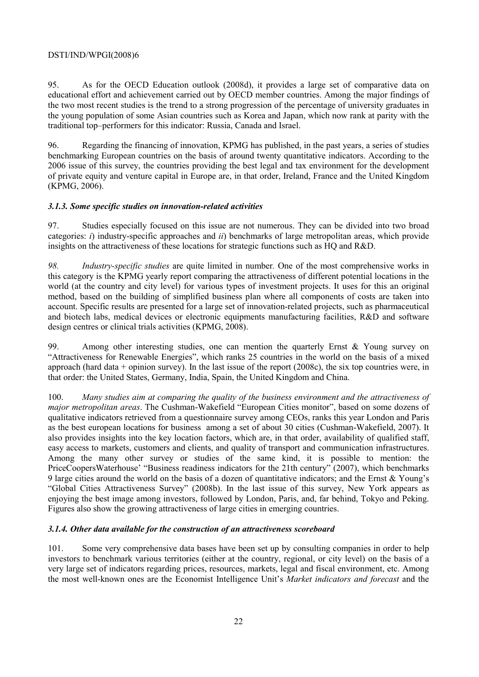95. As for the OECD Education outlook (2008d), it provides a large set of comparative data on educational effort and achievement carried out by OECD member countries. Among the major findings of the two most recent studies is the trend to a strong progression of the percentage of university graduates in the young population of some Asian countries such as Korea and Japan, which now rank at parity with the traditional top–performers for this indicator: Russia, Canada and Israel.

96. Regarding the financing of innovation, KPMG has published, in the past years, a series of studies benchmarking European countries on the basis of around twenty quantitative indicators. According to the 2006 issue of this survey, the countries providing the best legal and tax environment for the development of private equity and venture capital in Europe are, in that order, Ireland, France and the United Kingdom (KPMG, 2006).

# *3.1.3. Some specific studies on innovation-related activities*

97. Studies especially focused on this issue are not numerous. They can be divided into two broad categories: *i*) industry-specific approaches and *ii*) benchmarks of large metropolitan areas, which provide insights on the attractiveness of these locations for strategic functions such as HQ and R&D.

*98. Industry-specific studies* are quite limited in number*.* One of the most comprehensive works in this category is the KPMG yearly report comparing the attractiveness of different potential locations in the world (at the country and city level) for various types of investment projects. It uses for this an original method, based on the building of simplified business plan where all components of costs are taken into account. Specific results are presented for a large set of innovation-related projects, such as pharmaceutical and biotech labs, medical devices or electronic equipments manufacturing facilities, R&D and software design centres or clinical trials activities (KPMG, 2008).

99. Among other interesting studies, one can mention the quarterly Ernst & Young survey on "Attractiveness for Renewable Energies", which ranks 25 countries in the world on the basis of a mixed approach (hard data + opinion survey). In the last issue of the report (2008c), the six top countries were, in that order: the United States, Germany, India, Spain, the United Kingdom and China.

100. *Many studies aim at comparing the quality of the business environment and the attractiveness of major metropolitan areas*. The Cushman-Wakefield "European Cities monitor", based on some dozens of qualitative indicators retrieved from a questionnaire survey among CEOs, ranks this year London and Paris as the best european locations for business among a set of about 30 cities (Cushman-Wakefield, 2007). It also provides insights into the key location factors, which are, in that order, availability of qualified staff, easy access to markets, customers and clients, and quality of transport and communication infrastructures. Among the many other survey or studies of the same kind, it is possible to mention: the PriceCoopersWaterhouse' "Business readiness indicators for the 21th century" (2007), which benchmarks 9 large cities around the world on the basis of a dozen of quantitative indicators; and the Ernst & Young's "Global Cities Attractiveness Survey" (2008b). In the last issue of this survey, New York appears as enjoying the best image among investors, followed by London, Paris, and, far behind, Tokyo and Peking. Figures also show the growing attractiveness of large cities in emerging countries.

### *3.1.4. Other data available for the construction of an attractiveness scoreboard*

101. Some very comprehensive data bases have been set up by consulting companies in order to help investors to benchmark various territories (either at the country, regional, or city level) on the basis of a very large set of indicators regarding prices, resources, markets, legal and fiscal environment, etc. Among the most well-known ones are the Economist Intelligence Unit's *Market indicators and forecast* and the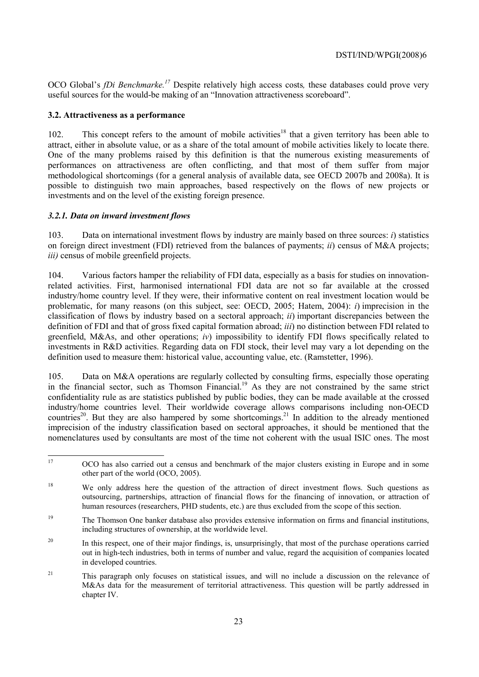OCO Global's *fDi Benchmarke.17* Despite relatively high access costs*,* these databases could prove very useful sources for the would-be making of an "Innovation attractiveness scoreboard".

### **3.2. Attractiveness as a performance**

102. This concept refers to the amount of mobile activities<sup>18</sup> that a given territory has been able to attract, either in absolute value, or as a share of the total amount of mobile activities likely to locate there. One of the many problems raised by this definition is that the numerous existing measurements of performances on attractiveness are often conflicting, and that most of them suffer from major methodological shortcomings (for a general analysis of available data, see OECD 2007b and 2008a). It is possible to distinguish two main approaches, based respectively on the flows of new projects or investments and on the level of the existing foreign presence.

### *3.2.1. Data on inward investment flows*

103. Data on international investment flows by industry are mainly based on three sources: *i*) statistics on foreign direct investment (FDI) retrieved from the balances of payments; *ii*) census of M&A projects; *iii)* census of mobile greenfield projects.

104. Various factors hamper the reliability of FDI data, especially as a basis for studies on innovationrelated activities. First, harmonised international FDI data are not so far available at the crossed industry/home country level. If they were, their informative content on real investment location would be problematic, for many reasons (on this subject, see: OECD, 2005; Hatem, 2004): *i*) imprecision in the classification of flows by industry based on a sectoral approach; *ii*) important discrepancies between the definition of FDI and that of gross fixed capital formation abroad; *iii*) no distinction between FDI related to greenfield, M&As, and other operations; *iv*) impossibility to identify FDI flows specifically related to investments in R&D activities. Regarding data on FDI stock, their level may vary a lot depending on the definition used to measure them: historical value, accounting value, etc. (Ramstetter, 1996).

105. Data on M&A operations are regularly collected by consulting firms, especially those operating in the financial sector, such as Thomson Financial.<sup>19</sup> As they are not constrained by the same strict confidentiality rule as are statistics published by public bodies, they can be made available at the crossed industry/home countries level. Their worldwide coverage allows comparisons including non-OECD countries<sup>20</sup>. But they are also hampered by some shortcomings.<sup>21</sup> In addition to the already mentioned imprecision of the industry classification based on sectoral approaches, it should be mentioned that the nomenclatures used by consultants are most of the time not coherent with the usual ISIC ones. The most

 $17$ 17 OCO has also carried out a census and benchmark of the major clusters existing in Europe and in some other part of the world (OCO, 2005).

<sup>&</sup>lt;sup>18</sup> We only address here the question of the attraction of direct investment flows. Such questions as outsourcing, partnerships, attraction of financial flows for the financing of innovation, or attraction of human resources (researchers, PHD students, etc.) are thus excluded from the scope of this section.

<sup>19</sup> The Thomson One banker database also provides extensive information on firms and financial institutions, including structures of ownership, at the worldwide level.

<sup>&</sup>lt;sup>20</sup> In this respect, one of their major findings, is, unsurprisingly, that most of the purchase operations carried out in high-tech industries, both in terms of number and value, regard the acquisition of companies located in developed countries.

<sup>&</sup>lt;sup>21</sup> This paragraph only focuses on statistical issues, and will no include a discussion on the relevance of M&As data for the measurement of territorial attractiveness. This question will be partly addressed in chapter IV.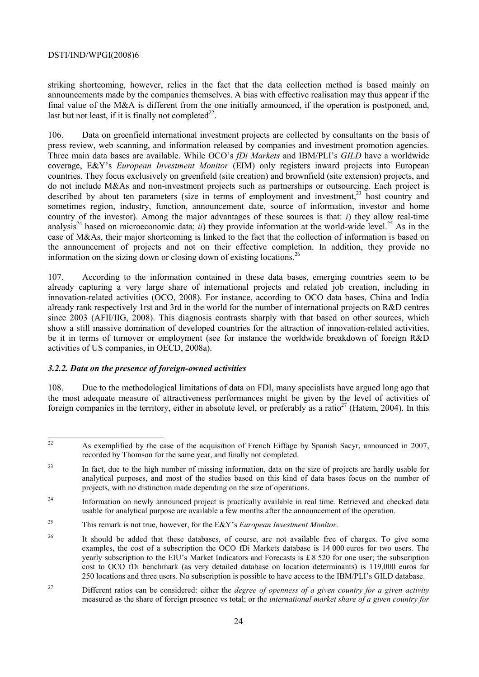striking shortcoming, however, relies in the fact that the data collection method is based mainly on announcements made by the companies themselves. A bias with effective realisation may thus appear if the final value of the M&A is different from the one initially announced, if the operation is postponed, and, last but not least, if it is finally not completed<sup>22</sup>.

106. Data on greenfield international investment projects are collected by consultants on the basis of press review, web scanning, and information released by companies and investment promotion agencies. Three main data bases are available. While OCO's *fDi Markets* and IBM/PLI's *GILD* have a worldwide coverage, E&Y's *European Investment Monitor* (EIM) only registers inward projects into European countries. They focus exclusively on greenfield (site creation) and brownfield (site extension) projects, and do not include M&As and non-investment projects such as partnerships or outsourcing. Each project is described by about ten parameters (size in terms of employment and investment.<sup>23</sup> host country and sometimes region, industry, function, announcement date, source of information, investor and home country of the investor). Among the major advantages of these sources is that: *i*) they allow real-time analysis<sup>24</sup> based on microeconomic data; *ii*) they provide information at the world-wide level.<sup>25</sup> As in the case of M&As, their major shortcoming is linked to the fact that the collection of information is based on the announcement of projects and not on their effective completion. In addition, they provide no information on the sizing down or closing down of existing locations.<sup>26</sup>

107. According to the information contained in these data bases, emerging countries seem to be already capturing a very large share of international projects and related job creation, including in innovation-related activities (OCO, 2008). For instance, according to OCO data bases, China and India already rank respectively 1rst and 3rd in the world for the number of international projects on R&D centres since 2003 (AFII/IIG, 2008). This diagnosis contrasts sharply with that based on other sources, which show a still massive domination of developed countries for the attraction of innovation-related activities, be it in terms of turnover or employment (see for instance the worldwide breakdown of foreign R&D activities of US companies, in OECD, 2008a).

# *3.2.2. Data on the presence of foreign-owned activities*

108. Due to the methodological limitations of data on FDI, many specialists have argued long ago that the most adequate measure of attractiveness performances might be given by the level of activities of foreign companies in the territory, either in absolute level, or preferably as a ratio<sup>27</sup> (Hatem, 2004). In this

 $22$ 22 As exemplified by the case of the acquisition of French Eiffage by Spanish Sacyr, announced in 2007, recorded by Thomson for the same year, and finally not completed.

<sup>&</sup>lt;sup>23</sup> In fact, due to the high number of missing information, data on the size of projects are hardly usable for analytical purposes, and most of the studies based on this kind of data bases focus on the number of projects, with no distinction made depending on the size of operations.

<sup>&</sup>lt;sup>24</sup> Information on newly announced project is practically available in real time. Retrieved and checked data usable for analytical purpose are available a few months after the announcement of the operation.

<sup>25</sup> This remark is not true, however, for the E&Y's *European Investment Monitor*.

<sup>&</sup>lt;sup>26</sup> It should be added that these databases, of course, are not available free of charges. To give some examples, the cost of a subscription the OCO fDi Markets database is 14 000 euros for two users. The yearly subscription to the EIU's Market Indicators and Forecasts is £ 8 520 for one user; the subscription cost to OCO fDi benchmark (as very detailed database on location determinants) is 119,000 euros for 250 locations and three users. No subscription is possible to have access to the IBM/PLI's GILD database.

<sup>27</sup> Different ratios can be considered: either the *degree of openness of a given country for a given activity* measured as the share of foreign presence vs total; or the *international market share of a given country for*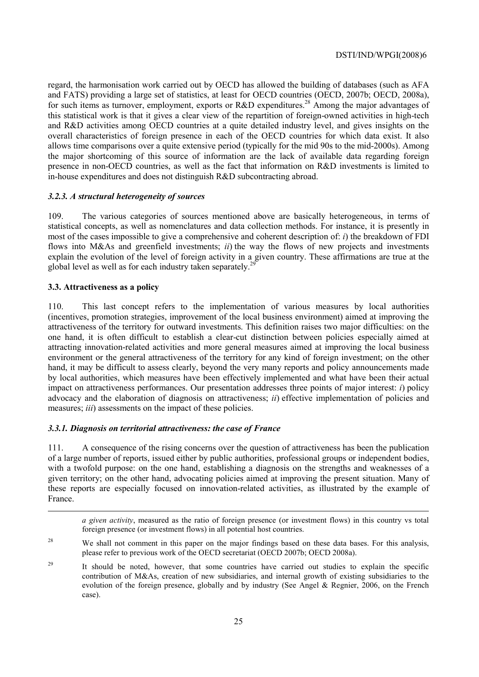regard, the harmonisation work carried out by OECD has allowed the building of databases (such as AFA and FATS) providing a large set of statistics, at least for OECD countries (OECD, 2007b; OECD, 2008a), for such items as turnover, employment, exports or R&D expenditures.<sup>28</sup> Among the major advantages of this statistical work is that it gives a clear view of the repartition of foreign-owned activities in high-tech and R&D activities among OECD countries at a quite detailed industry level, and gives insights on the overall characteristics of foreign presence in each of the OECD countries for which data exist. It also allows time comparisons over a quite extensive period (typically for the mid 90s to the mid-2000s). Among the major shortcoming of this source of information are the lack of available data regarding foreign presence in non-OECD countries, as well as the fact that information on R&D investments is limited to in-house expenditures and does not distinguish R&D subcontracting abroad.

# *3.2.3. A structural heterogeneity of sources*

109. The various categories of sources mentioned above are basically heterogeneous, in terms of statistical concepts, as well as nomenclatures and data collection methods. For instance, it is presently in most of the cases impossible to give a comprehensive and coherent description of: *i*) the breakdown of FDI flows into M&As and greenfield investments; *ii*) the way the flows of new projects and investments explain the evolution of the level of foreign activity in a given country. These affirmations are true at the global level as well as for each industry taken separately.<sup>2</sup>

# **3.3. Attractiveness as a policy**

1

110. This last concept refers to the implementation of various measures by local authorities (incentives, promotion strategies, improvement of the local business environment) aimed at improving the attractiveness of the territory for outward investments. This definition raises two major difficulties: on the one hand, it is often difficult to establish a clear-cut distinction between policies especially aimed at attracting innovation-related activities and more general measures aimed at improving the local business environment or the general attractiveness of the territory for any kind of foreign investment; on the other hand, it may be difficult to assess clearly, beyond the very many reports and policy announcements made by local authorities, which measures have been effectively implemented and what have been their actual impact on attractiveness performances. Our presentation addresses three points of major interest: *i*) policy advocacy and the elaboration of diagnosis on attractiveness; *ii*) effective implementation of policies and measures; *iii*) assessments on the impact of these policies.

### *3.3.1. Diagnosis on territorial attractiveness: the case of France*

111. A consequence of the rising concerns over the question of attractiveness has been the publication of a large number of reports, issued either by public authorities, professional groups or independent bodies, with a twofold purpose: on the one hand, establishing a diagnosis on the strengths and weaknesses of a given territory; on the other hand, advocating policies aimed at improving the present situation. Many of these reports are especially focused on innovation-related activities, as illustrated by the example of France.

*a given activity*, measured as the ratio of foreign presence (or investment flows) in this country vs total foreign presence (or investment flows) in all potential host countries.

- <sup>28</sup> We shall not comment in this paper on the major findings based on these data bases. For this analysis, please refer to previous work of the OECD secretariat (OECD 2007b; OECD 2008a).
- <sup>29</sup> It should be noted, however, that some countries have carried out studies to explain the specific contribution of M&As, creation of new subsidiaries, and internal growth of existing subsidiaries to the evolution of the foreign presence, globally and by industry (See Angel & Regnier, 2006, on the French case).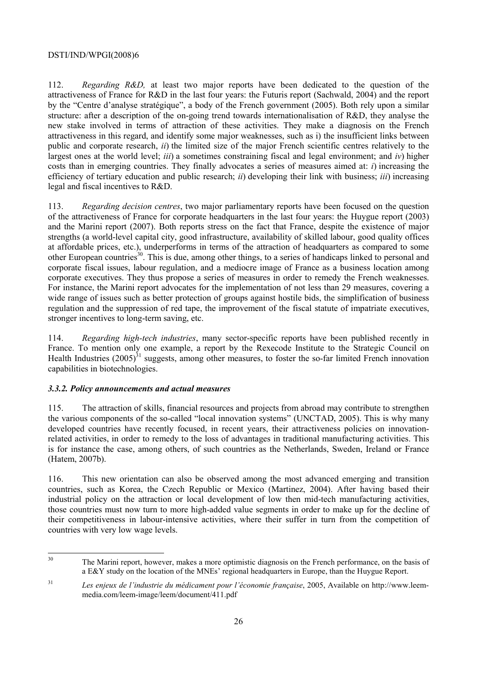112. *Regarding R&D,* at least two major reports have been dedicated to the question of the attractiveness of France for R&D in the last four years: the Futuris report (Sachwald, 2004) and the report by the "Centre d'analyse stratégique", a body of the French government (2005). Both rely upon a similar structure: after a description of the on-going trend towards internationalisation of R&D, they analyse the new stake involved in terms of attraction of these activities. They make a diagnosis on the French attractiveness in this regard, and identify some major weaknesses, such as i) the insufficient links between public and corporate research, *ii*) the limited size of the major French scientific centres relatively to the largest ones at the world level; *iii*) a sometimes constraining fiscal and legal environment; and *iv*) higher costs than in emerging countries. They finally advocates a series of measures aimed at: *i*) increasing the efficiency of tertiary education and public research; *ii*) developing their link with business; *iii*) increasing legal and fiscal incentives to R&D.

113. *Regarding decision centres*, two major parliamentary reports have been focused on the question of the attractiveness of France for corporate headquarters in the last four years: the Huygue report (2003) and the Marini report (2007). Both reports stress on the fact that France, despite the existence of major strengths (a world-level capital city, good infrastructure, availability of skilled labour, good quality offices at affordable prices, etc.), underperforms in terms of the attraction of headquarters as compared to some other European countries<sup>30</sup>. This is due, among other things, to a series of handicaps linked to personal and corporate fiscal issues, labour regulation, and a mediocre image of France as a business location among corporate executives. They thus propose a series of measures in order to remedy the French weaknesses. For instance, the Marini report advocates for the implementation of not less than 29 measures, covering a wide range of issues such as better protection of groups against hostile bids, the simplification of business regulation and the suppression of red tape, the improvement of the fiscal statute of impatriate executives, stronger incentives to long-term saving, etc.

114. *Regarding high-tech industries*, many sector-specific reports have been published recently in France. To mention only one example, a report by the Rexecode Institute to the Strategic Council on Health Industries  $(2005)^{31}$  suggests, among other measures, to foster the so-far limited French innovation capabilities in biotechnologies.

# *3.3.2. Policy announcements and actual measures*

115. The attraction of skills, financial resources and projects from abroad may contribute to strengthen the various components of the so-called "local innovation systems" (UNCTAD, 2005). This is why many developed countries have recently focused, in recent years, their attractiveness policies on innovationrelated activities, in order to remedy to the loss of advantages in traditional manufacturing activities. This is for instance the case, among others, of such countries as the Netherlands, Sweden, Ireland or France (Hatem, 2007b).

116. This new orientation can also be observed among the most advanced emerging and transition countries, such as Korea, the Czech Republic or Mexico (Martinez, 2004). After having based their industrial policy on the attraction or local development of low then mid-tech manufacturing activities, those countries must now turn to more high-added value segments in order to make up for the decline of their competitiveness in labour-intensive activities, where their suffer in turn from the competition of countries with very low wage levels.

 $30$ The Marini report, however, makes a more optimistic diagnosis on the French performance, on the basis of a E&Y study on the location of the MNEs' regional headquarters in Europe, than the Huygue Report.

<sup>31</sup> *Les enjeux de l'industrie du médicament pour l'économie française*, 2005, Available on http://www.leemmedia.com/leem-image/leem/document/411.pdf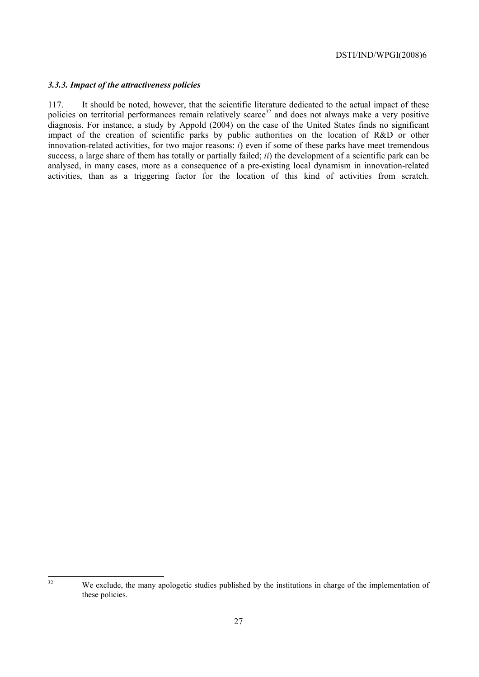#### *3.3.3. Impact of the attractiveness policies*

117. It should be noted, however, that the scientific literature dedicated to the actual impact of these policies on territorial performances remain relatively scarce<sup>32</sup> and does not always make a very positive diagnosis. For instance, a study by Appold (2004) on the case of the United States finds no significant impact of the creation of scientific parks by public authorities on the location of R&D or other innovation-related activities, for two major reasons: *i*) even if some of these parks have meet tremendous success, a large share of them has totally or partially failed; *ii*) the development of a scientific park can be analysed, in many cases, more as a consequence of a pre-existing local dynamism in innovation-related activities, than as a triggering factor for the location of this kind of activities from scratch.

 $32$ We exclude, the many apologetic studies published by the institutions in charge of the implementation of these policies.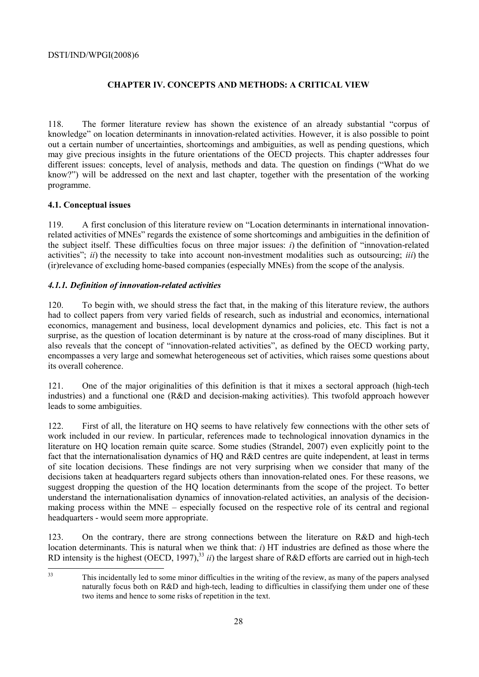# **CHAPTER IV. CONCEPTS AND METHODS: A CRITICAL VIEW**

118. The former literature review has shown the existence of an already substantial "corpus of knowledge" on location determinants in innovation-related activities. However, it is also possible to point out a certain number of uncertainties, shortcomings and ambiguities, as well as pending questions, which may give precious insights in the future orientations of the OECD projects. This chapter addresses four different issues: concepts, level of analysis, methods and data. The question on findings ("What do we know?") will be addressed on the next and last chapter, together with the presentation of the working programme.

# **4.1. Conceptual issues**

119. A first conclusion of this literature review on "Location determinants in international innovationrelated activities of MNEs" regards the existence of some shortcomings and ambiguities in the definition of the subject itself. These difficulties focus on three major issues: *i*) the definition of "innovation-related activities"; *ii*) the necessity to take into account non-investment modalities such as outsourcing; *iii*) the (ir)relevance of excluding home-based companies (especially MNEs) from the scope of the analysis.

# *4.1.1. Definition of innovation-related activities*

120. To begin with, we should stress the fact that, in the making of this literature review, the authors had to collect papers from very varied fields of research, such as industrial and economics, international economics, management and business, local development dynamics and policies, etc. This fact is not a surprise, as the question of location determinant is by nature at the cross-road of many disciplines. But it also reveals that the concept of "innovation-related activities", as defined by the OECD working party, encompasses a very large and somewhat heterogeneous set of activities, which raises some questions about its overall coherence.

121. One of the major originalities of this definition is that it mixes a sectoral approach (high-tech industries) and a functional one (R&D and decision-making activities). This twofold approach however leads to some ambiguities.

122. First of all, the literature on HQ seems to have relatively few connections with the other sets of work included in our review. In particular, references made to technological innovation dynamics in the literature on HQ location remain quite scarce. Some studies (Strandel, 2007) even explicitly point to the fact that the internationalisation dynamics of HQ and R&D centres are quite independent, at least in terms of site location decisions. These findings are not very surprising when we consider that many of the decisions taken at headquarters regard subjects others than innovation-related ones. For these reasons, we suggest dropping the question of the HQ location determinants from the scope of the project. To better understand the internationalisation dynamics of innovation-related activities, an analysis of the decisionmaking process within the MNE – especially focused on the respective role of its central and regional headquarters - would seem more appropriate.

123. On the contrary, there are strong connections between the literature on R&D and high-tech location determinants. This is natural when we think that: *i*) HT industries are defined as those where the RD intensity is the highest (OECD, 1997),<sup>33</sup> *ii*) the largest share of R&D efforts are carried out in high-tech

 $33$ 33 This incidentally led to some minor difficulties in the writing of the review, as many of the papers analysed naturally focus both on R&D and high-tech, leading to difficulties in classifying them under one of these two items and hence to some risks of repetition in the text.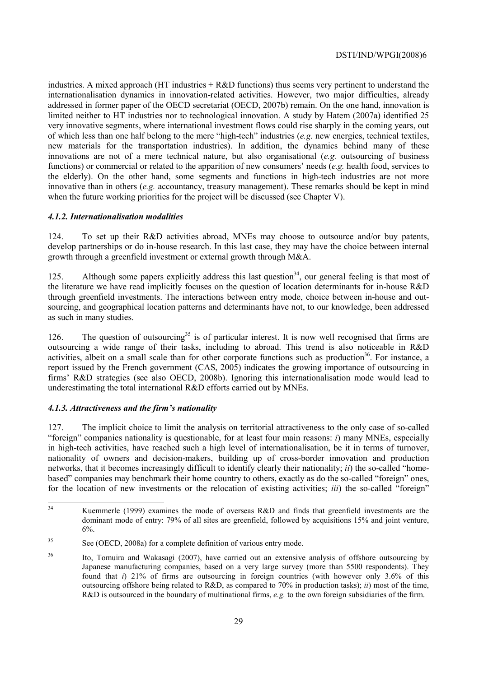industries. A mixed approach (HT industries + R&D functions) thus seems very pertinent to understand the internationalisation dynamics in innovation-related activities. However, two major difficulties, already addressed in former paper of the OECD secretariat (OECD, 2007b) remain. On the one hand, innovation is limited neither to HT industries nor to technological innovation. A study by Hatem (2007a) identified 25 very innovative segments, where international investment flows could rise sharply in the coming years, out of which less than one half belong to the mere "high-tech" industries (*e.g.* new energies, technical textiles, new materials for the transportation industries). In addition, the dynamics behind many of these innovations are not of a mere technical nature, but also organisational (*e.g.* outsourcing of business functions) or commercial or related to the apparition of new consumers' needs (*e.g.* health food, services to the elderly). On the other hand, some segments and functions in high-tech industries are not more innovative than in others  $(e,g)$  accountancy, treasury management). These remarks should be kept in mind when the future working priorities for the project will be discussed (see Chapter V).

# *4.1.2. Internationalisation modalities*

124. To set up their R&D activities abroad, MNEs may choose to outsource and/or buy patents, develop partnerships or do in-house research. In this last case, they may have the choice between internal growth through a greenfield investment or external growth through M&A.

125. Although some papers explicitly address this last question<sup>34</sup>, our general feeling is that most of the literature we have read implicitly focuses on the question of location determinants for in-house R&D through greenfield investments. The interactions between entry mode, choice between in-house and outsourcing, and geographical location patterns and determinants have not, to our knowledge, been addressed as such in many studies.

126. The question of outsourcing<sup>35</sup> is of particular interest. It is now well recognised that firms are outsourcing a wide range of their tasks, including to abroad. This trend is also noticeable in R&D activities, albeit on a small scale than for other corporate functions such as production<sup>36</sup>. For instance, a report issued by the French government (CAS, 2005) indicates the growing importance of outsourcing in firms' R&D strategies (see also OECD, 2008b). Ignoring this internationalisation mode would lead to underestimating the total international R&D efforts carried out by MNEs.

# *4.1.3. Attractiveness and the firm's nationality*

127. The implicit choice to limit the analysis on territorial attractiveness to the only case of so-called "foreign" companies nationality is questionable, for at least four main reasons: *i*) many MNEs, especially in high-tech activities, have reached such a high level of internationalisation, be it in terms of turnover, nationality of owners and decision-makers, building up of cross-border innovation and production networks, that it becomes increasingly difficult to identify clearly their nationality; *ii*) the so-called "homebased" companies may benchmark their home country to others, exactly as do the so-called "foreign" ones, for the location of new investments or the relocation of existing activities; *iii*) the so-called "foreign"

 $34$ 34 Kuemmerle (1999) examines the mode of overseas R&D and finds that greenfield investments are the dominant mode of entry: 79% of all sites are greenfield, followed by acquisitions 15% and joint venture, 6%.

<sup>35</sup> See (OECD, 2008a) for a complete definition of various entry mode.

<sup>36</sup> Ito, Tomuira and Wakasagi (2007), have carried out an extensive analysis of offshore outsourcing by Japanese manufacturing companies, based on a very large survey (more than 5500 respondents). They found that *i*) 21% of firms are outsourcing in foreign countries (with however only 3.6% of this outsourcing offshore being related to R&D, as compared to 70% in production tasks); *ii*) most of the time, R&D is outsourced in the boundary of multinational firms, *e.g.* to the own foreign subsidiaries of the firm.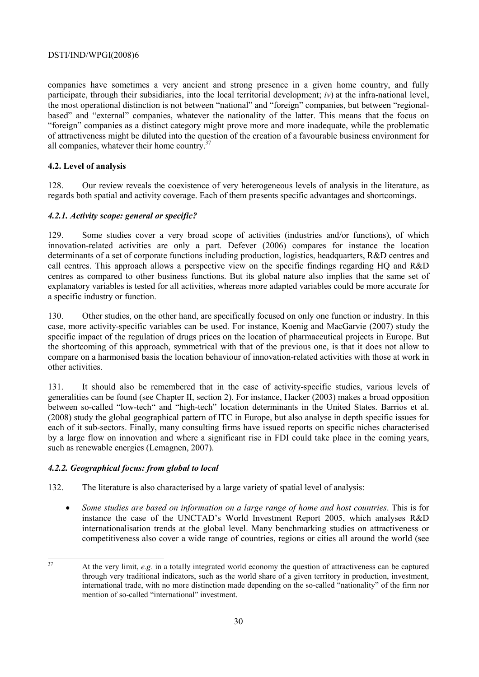companies have sometimes a very ancient and strong presence in a given home country, and fully participate, through their subsidiaries, into the local territorial development; *iv*) at the infra-national level, the most operational distinction is not between "national" and "foreign" companies, but between "regionalbased" and "external" companies, whatever the nationality of the latter. This means that the focus on "foreign" companies as a distinct category might prove more and more inadequate, while the problematic of attractiveness might be diluted into the question of the creation of a favourable business environment for all companies, whatever their home country.37

# **4.2. Level of analysis**

128. Our review reveals the coexistence of very heterogeneous levels of analysis in the literature, as regards both spatial and activity coverage. Each of them presents specific advantages and shortcomings.

# *4.2.1. Activity scope: general or specific?*

129. Some studies cover a very broad scope of activities (industries and/or functions), of which innovation-related activities are only a part. Defever (2006) compares for instance the location determinants of a set of corporate functions including production, logistics, headquarters, R&D centres and call centres. This approach allows a perspective view on the specific findings regarding HQ and R&D centres as compared to other business functions. But its global nature also implies that the same set of explanatory variables is tested for all activities, whereas more adapted variables could be more accurate for a specific industry or function.

130. Other studies, on the other hand, are specifically focused on only one function or industry. In this case, more activity-specific variables can be used. For instance, Koenig and MacGarvie (2007) study the specific impact of the regulation of drugs prices on the location of pharmaceutical projects in Europe. But the shortcoming of this approach, symmetrical with that of the previous one, is that it does not allow to compare on a harmonised basis the location behaviour of innovation-related activities with those at work in other activities.

131. It should also be remembered that in the case of activity-specific studies, various levels of generalities can be found (see Chapter II, section 2). For instance, Hacker (2003) makes a broad opposition between so-called "low-tech" and "high-tech" location determinants in the United States. Barrios et al. (2008) study the global geographical pattern of ITC in Europe, but also analyse in depth specific issues for each of it sub-sectors. Finally, many consulting firms have issued reports on specific niches characterised by a large flow on innovation and where a significant rise in FDI could take place in the coming years, such as renewable energies (Lemagnen, 2007).

### *4.2.2. Geographical focus: from global to local*

132. The literature is also characterised by a large variety of spatial level of analysis:

• *Some studies are based on information on a large range of home and host countries*. This is for instance the case of the UNCTAD's World Investment Report 2005, which analyses R&D internationalisation trends at the global level. Many benchmarking studies on attractiveness or competitiveness also cover a wide range of countries, regions or cities all around the world (see

<sup>37</sup> At the very limit, *e.g.* in a totally integrated world economy the question of attractiveness can be captured through very traditional indicators, such as the world share of a given territory in production, investment, international trade, with no more distinction made depending on the so-called "nationality" of the firm nor mention of so-called "international" investment.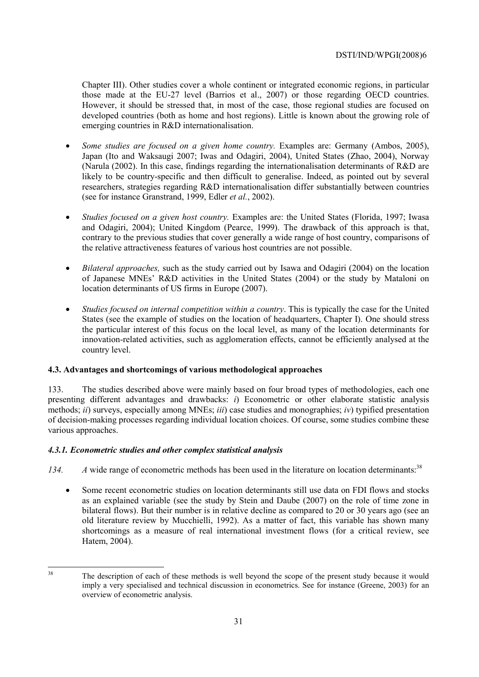Chapter III). Other studies cover a whole continent or integrated economic regions, in particular those made at the EU-27 level (Barrios et al., 2007) or those regarding OECD countries. However, it should be stressed that, in most of the case, those regional studies are focused on developed countries (both as home and host regions). Little is known about the growing role of emerging countries in R&D internationalisation.

- *Some studies are focused on a given home country.* Examples are: Germany (Ambos, 2005), Japan (Ito and Waksaugi 2007; Iwas and Odagiri, 2004), United States (Zhao, 2004), Norway (Narula (2002). In this case, findings regarding the internationalisation determinants of R&D are likely to be country-specific and then difficult to generalise. Indeed, as pointed out by several researchers, strategies regarding R&D internationalisation differ substantially between countries (see for instance Granstrand, 1999, Edler *et al.*, 2002).
- *Studies focused on a given host country.* Examples are: the United States (Florida, 1997; Iwasa and Odagiri, 2004); United Kingdom (Pearce, 1999). The drawback of this approach is that, contrary to the previous studies that cover generally a wide range of host country, comparisons of the relative attractiveness features of various host countries are not possible.
- *Bilateral approaches,* such as the study carried out by Isawa and Odagiri (2004) on the location of Japanese MNEs' R&D activities in the United States (2004) or the study by Mataloni on location determinants of US firms in Europe (2007).
- *Studies focused on internal competition within a country*. This is typically the case for the United States (see the example of studies on the location of headquarters, Chapter I). One should stress the particular interest of this focus on the local level, as many of the location determinants for innovation-related activities, such as agglomeration effects, cannot be efficiently analysed at the country level.

# **4.3. Advantages and shortcomings of various methodological approaches**

133. The studies described above were mainly based on four broad types of methodologies, each one presenting different advantages and drawbacks: *i*) Econometric or other elaborate statistic analysis methods; *ii*) surveys, especially among MNEs; *iii*) case studies and monographies; *iv*) typified presentation of decision-making processes regarding individual location choices. Of course, some studies combine these various approaches.

# *4.3.1. Econometric studies and other complex statistical analysis*

- 134. A wide range of econometric methods has been used in the literature on location determinants:<sup>38</sup>
	- Some recent econometric studies on location determinants still use data on FDI flows and stocks as an explained variable (see the study by Stein and Daube (2007) on the role of time zone in bilateral flows). But their number is in relative decline as compared to 20 or 30 years ago (see an old literature review by Mucchielli, 1992). As a matter of fact, this variable has shown many shortcomings as a measure of real international investment flows (for a critical review, see Hatem, 2004).

<sup>38</sup> 

The description of each of these methods is well beyond the scope of the present study because it would imply a very specialised and technical discussion in econometrics. See for instance (Greene, 2003) for an overview of econometric analysis.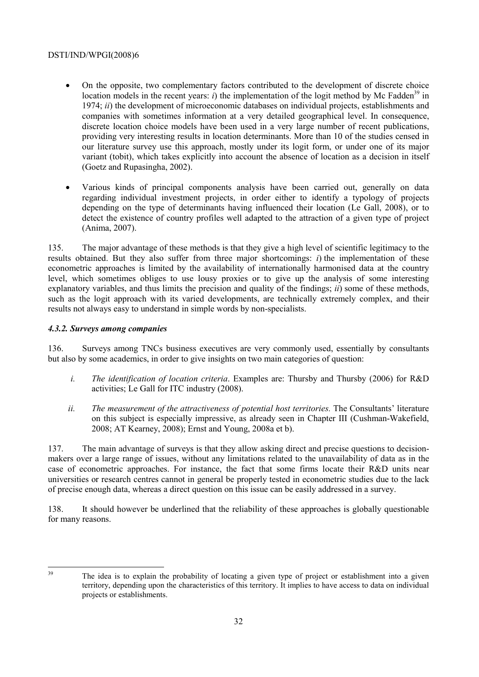- On the opposite, two complementary factors contributed to the development of discrete choice location models in the recent years:  $i$ ) the implementation of the logit method by Mc Fadden<sup>39</sup> in 1974; *ii*) the development of microeconomic databases on individual projects, establishments and companies with sometimes information at a very detailed geographical level. In consequence, discrete location choice models have been used in a very large number of recent publications, providing very interesting results in location determinants. More than 10 of the studies censed in our literature survey use this approach, mostly under its logit form, or under one of its major variant (tobit), which takes explicitly into account the absence of location as a decision in itself (Goetz and Rupasingha, 2002).
- Various kinds of principal components analysis have been carried out, generally on data regarding individual investment projects, in order either to identify a typology of projects depending on the type of determinants having influenced their location (Le Gall, 2008), or to detect the existence of country profiles well adapted to the attraction of a given type of project (Anima, 2007).

135. The major advantage of these methods is that they give a high level of scientific legitimacy to the results obtained. But they also suffer from three major shortcomings: *i*) the implementation of these econometric approaches is limited by the availability of internationally harmonised data at the country level, which sometimes obliges to use lousy proxies or to give up the analysis of some interesting explanatory variables, and thus limits the precision and quality of the findings; *ii*) some of these methods, such as the logit approach with its varied developments, are technically extremely complex, and their results not always easy to understand in simple words by non-specialists.

# *4.3.2. Surveys among companies*

136. Surveys among TNCs business executives are very commonly used, essentially by consultants but also by some academics, in order to give insights on two main categories of question:

- *i. The identification of location criteria*. Examples are: Thursby and Thursby (2006) for R&D activities; Le Gall for ITC industry (2008).
- *ii. The measurement of the attractiveness of potential host territories.* The Consultants' literature on this subject is especially impressive, as already seen in Chapter III (Cushman-Wakefield, 2008; AT Kearney, 2008); Ernst and Young, 2008a et b).

137. The main advantage of surveys is that they allow asking direct and precise questions to decisionmakers over a large range of issues, without any limitations related to the unavailability of data as in the case of econometric approaches. For instance, the fact that some firms locate their R&D units near universities or research centres cannot in general be properly tested in econometric studies due to the lack of precise enough data, whereas a direct question on this issue can be easily addressed in a survey.

138. It should however be underlined that the reliability of these approaches is globally questionable for many reasons.

39

The idea is to explain the probability of locating a given type of project or establishment into a given territory, depending upon the characteristics of this territory. It implies to have access to data on individual projects or establishments.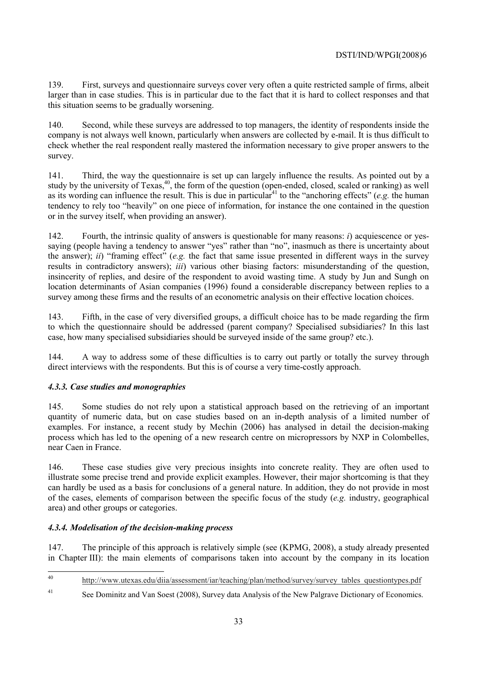139. First, surveys and questionnaire surveys cover very often a quite restricted sample of firms, albeit larger than in case studies. This is in particular due to the fact that it is hard to collect responses and that this situation seems to be gradually worsening.

140. Second, while these surveys are addressed to top managers, the identity of respondents inside the company is not always well known, particularly when answers are collected by e-mail. It is thus difficult to check whether the real respondent really mastered the information necessary to give proper answers to the survey.

141. Third, the way the questionnaire is set up can largely influence the results. As pointed out by a study by the university of Texas,<sup>40</sup>, the form of the question (open-ended, closed, scaled or ranking) as well as its wording can influence the result. This is due in particular<sup>41</sup> to the "anchoring effects" (*e.g.* the human tendency to rely too "heavily" on one piece of information, for instance the one contained in the question or in the survey itself, when providing an answer).

142. Fourth, the intrinsic quality of answers is questionable for many reasons: *i*) acquiescence or yessaying (people having a tendency to answer "yes" rather than "no", inasmuch as there is uncertainty about the answer); *ii*) "framing effect" (*e.g.* the fact that same issue presented in different ways in the survey results in contradictory answers); *iii*) various other biasing factors: misunderstanding of the question, insincerity of replies, and desire of the respondent to avoid wasting time. A study by Jun and Sungh on location determinants of Asian companies (1996) found a considerable discrepancy between replies to a survey among these firms and the results of an econometric analysis on their effective location choices.

143. Fifth, in the case of very diversified groups, a difficult choice has to be made regarding the firm to which the questionnaire should be addressed (parent company? Specialised subsidiaries? In this last case, how many specialised subsidiaries should be surveyed inside of the same group? etc.).

144. A way to address some of these difficulties is to carry out partly or totally the survey through direct interviews with the respondents. But this is of course a very time-costly approach.

# *4.3.3. Case studies and monographies*

145. Some studies do not rely upon a statistical approach based on the retrieving of an important quantity of numeric data, but on case studies based on an in-depth analysis of a limited number of examples. For instance, a recent study by Mechin (2006) has analysed in detail the decision-making process which has led to the opening of a new research centre on micropressors by NXP in Colombelles, near Caen in France.

146. These case studies give very precious insights into concrete reality. They are often used to illustrate some precise trend and provide explicit examples. However, their major shortcoming is that they can hardly be used as a basis for conclusions of a general nature. In addition, they do not provide in most of the cases, elements of comparison between the specific focus of the study (*e.g.* industry, geographical area) and other groups or categories.

# *4.3.4. Modelisation of the decision-making process*

147. The principle of this approach is relatively simple (see (KPMG, 2008), a study already presented in Chapter III): the main elements of comparisons taken into account by the company in its location

 $40$ http://www.utexas.edu/diia/assessment/iar/teaching/plan/method/survey/survey\_tables\_questiontypes.pdf

<sup>41</sup> See Dominitz and Van Soest (2008), Survey data Analysis of the New Palgrave Dictionary of Economics.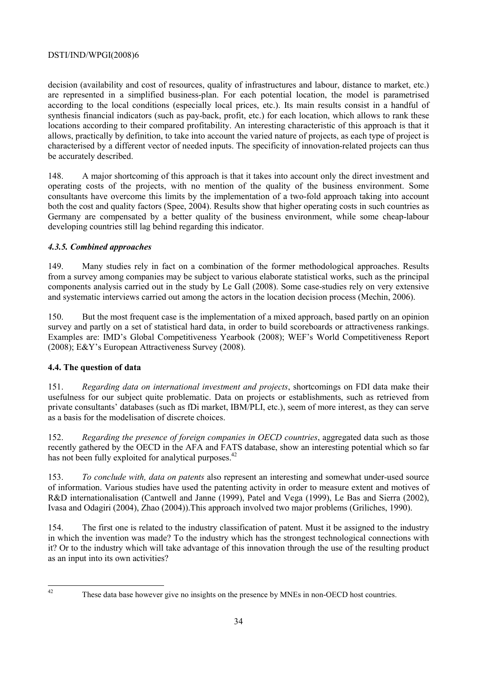decision (availability and cost of resources, quality of infrastructures and labour, distance to market, etc.) are represented in a simplified business-plan. For each potential location, the model is parametrised according to the local conditions (especially local prices, etc.). Its main results consist in a handful of synthesis financial indicators (such as pay-back, profit, etc.) for each location, which allows to rank these locations according to their compared profitability. An interesting characteristic of this approach is that it allows, practically by definition, to take into account the varied nature of projects, as each type of project is characterised by a different vector of needed inputs. The specificity of innovation-related projects can thus be accurately described.

148. A major shortcoming of this approach is that it takes into account only the direct investment and operating costs of the projects, with no mention of the quality of the business environment. Some consultants have overcome this limits by the implementation of a two-fold approach taking into account both the cost and quality factors (Spee, 2004). Results show that higher operating costs in such countries as Germany are compensated by a better quality of the business environment, while some cheap-labour developing countries still lag behind regarding this indicator.

# *4.3.5. Combined approaches*

149. Many studies rely in fact on a combination of the former methodological approaches. Results from a survey among companies may be subject to various elaborate statistical works, such as the principal components analysis carried out in the study by Le Gall (2008). Some case-studies rely on very extensive and systematic interviews carried out among the actors in the location decision process (Mechin, 2006).

150. But the most frequent case is the implementation of a mixed approach, based partly on an opinion survey and partly on a set of statistical hard data, in order to build scoreboards or attractiveness rankings. Examples are: IMD's Global Competitiveness Yearbook (2008); WEF's World Competitiveness Report (2008); E&Y's European Attractiveness Survey (2008).

# **4.4. The question of data**

151. *Regarding data on international investment and projects*, shortcomings on FDI data make their usefulness for our subject quite problematic. Data on projects or establishments, such as retrieved from private consultants' databases (such as fDi market, IBM/PLI, etc.), seem of more interest, as they can serve as a basis for the modelisation of discrete choices.

152. *Regarding the presence of foreign companies in OECD countries*, aggregated data such as those recently gathered by the OECD in the AFA and FATS database, show an interesting potential which so far has not been fully exploited for analytical purposes.<sup>42</sup>

153. *To conclude with, data on patents* also represent an interesting and somewhat under-used source of information. Various studies have used the patenting activity in order to measure extent and motives of R&D internationalisation (Cantwell and Janne (1999), Patel and Vega (1999), Le Bas and Sierra (2002), Ivasa and Odagiri (2004), Zhao (2004)).This approach involved two major problems (Griliches, 1990).

154. The first one is related to the industry classification of patent. Must it be assigned to the industry in which the invention was made? To the industry which has the strongest technological connections with it? Or to the industry which will take advantage of this innovation through the use of the resulting product as an input into its own activities?

 $42$ 

These data base however give no insights on the presence by MNEs in non-OECD host countries.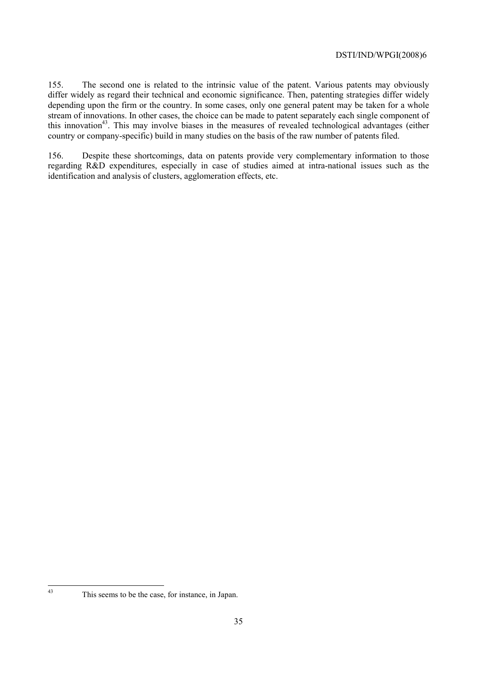155. The second one is related to the intrinsic value of the patent. Various patents may obviously differ widely as regard their technical and economic significance. Then, patenting strategies differ widely depending upon the firm or the country. In some cases, only one general patent may be taken for a whole stream of innovations. In other cases, the choice can be made to patent separately each single component of this innovation<sup>43</sup>. This may involve biases in the measures of revealed technological advantages (either country or company-specific) build in many studies on the basis of the raw number of patents filed.

156. Despite these shortcomings, data on patents provide very complementary information to those regarding R&D expenditures, especially in case of studies aimed at intra-national issues such as the identification and analysis of clusters, agglomeration effects, etc.

 $43$ 

This seems to be the case, for instance, in Japan.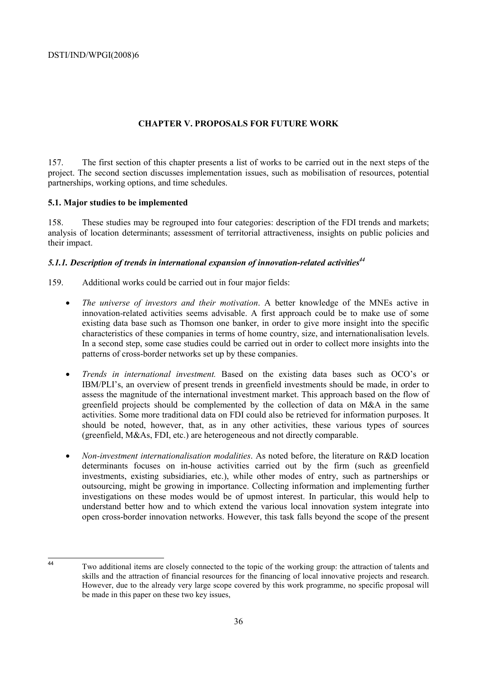# **CHAPTER V. PROPOSALS FOR FUTURE WORK**

157. The first section of this chapter presents a list of works to be carried out in the next steps of the project. The second section discusses implementation issues, such as mobilisation of resources, potential partnerships, working options, and time schedules.

### **5.1. Major studies to be implemented**

158. These studies may be regrouped into four categories: description of the FDI trends and markets; analysis of location determinants; assessment of territorial attractiveness, insights on public policies and their impact.

# 5.1.1. Description of trends in international expansion of innovation-related activities<sup>44</sup>

- 159. Additional works could be carried out in four major fields:
	- *The universe of investors and their motivation*. A better knowledge of the MNEs active in innovation-related activities seems advisable. A first approach could be to make use of some existing data base such as Thomson one banker, in order to give more insight into the specific characteristics of these companies in terms of home country, size, and internationalisation levels. In a second step, some case studies could be carried out in order to collect more insights into the patterns of cross-border networks set up by these companies.
	- *Trends in international investment.* Based on the existing data bases such as OCO's or IBM/PLI's, an overview of present trends in greenfield investments should be made, in order to assess the magnitude of the international investment market. This approach based on the flow of greenfield projects should be complemented by the collection of data on M&A in the same activities. Some more traditional data on FDI could also be retrieved for information purposes. It should be noted, however, that, as in any other activities, these various types of sources (greenfield, M&As, FDI, etc.) are heterogeneous and not directly comparable.
	- *Non-investment internationalisation modalities*. As noted before, the literature on R&D location determinants focuses on in-house activities carried out by the firm (such as greenfield investments, existing subsidiaries, etc.), while other modes of entry, such as partnerships or outsourcing, might be growing in importance. Collecting information and implementing further investigations on these modes would be of upmost interest. In particular, this would help to understand better how and to which extend the various local innovation system integrate into open cross-border innovation networks. However, this task falls beyond the scope of the present

 $\overline{A}$ 

Two additional items are closely connected to the topic of the working group: the attraction of talents and skills and the attraction of financial resources for the financing of local innovative projects and research. However, due to the already very large scope covered by this work programme, no specific proposal will be made in this paper on these two key issues,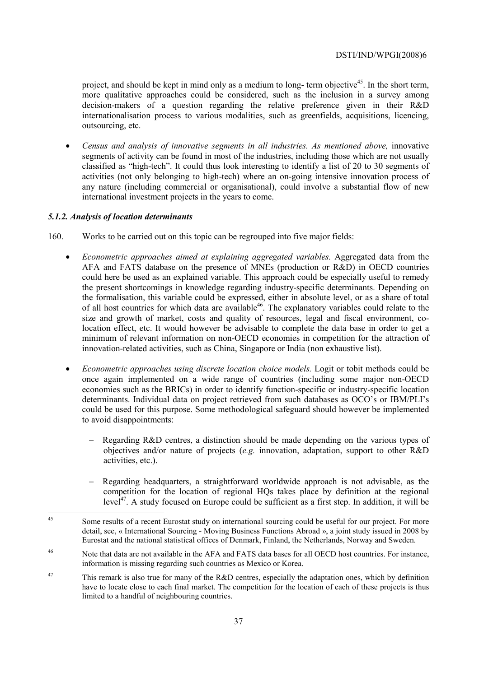project, and should be kept in mind only as a medium to long- term objective<sup>45</sup>. In the short term, more qualitative approaches could be considered, such as the inclusion in a survey among decision-makers of a question regarding the relative preference given in their R&D internationalisation process to various modalities, such as greenfields, acquisitions, licencing, outsourcing, etc.

• *Census and analysis of innovative segments in all industries. As mentioned above, innovative* segments of activity can be found in most of the industries, including those which are not usually classified as "high-tech". It could thus look interesting to identify a list of 20 to 30 segments of activities (not only belonging to high-tech) where an on-going intensive innovation process of any nature (including commercial or organisational), could involve a substantial flow of new international investment projects in the years to come.

### *5.1.2. Analysis of location determinants*

- 160. Works to be carried out on this topic can be regrouped into five major fields:
	- *Econometric approaches aimed at explaining aggregated variables.* Aggregated data from the AFA and FATS database on the presence of MNEs (production or R&D) in OECD countries could here be used as an explained variable. This approach could be especially useful to remedy the present shortcomings in knowledge regarding industry-specific determinants. Depending on the formalisation, this variable could be expressed, either in absolute level, or as a share of total of all host countries for which data are available<sup>46</sup>. The explanatory variables could relate to the size and growth of market, costs and quality of resources, legal and fiscal environment, colocation effect, etc. It would however be advisable to complete the data base in order to get a minimum of relevant information on non-OECD economies in competition for the attraction of innovation-related activities, such as China, Singapore or India (non exhaustive list).
	- *Econometric approaches using discrete location choice models.* Logit or tobit methods could be once again implemented on a wide range of countries (including some major non-OECD economies such as the BRICs) in order to identify function-specific or industry-specific location determinants. Individual data on project retrieved from such databases as OCO's or IBM/PLI's could be used for this purpose. Some methodological safeguard should however be implemented to avoid disappointments:
		- Regarding R&D centres, a distinction should be made depending on the various types of objectives and/or nature of projects (*e.g.* innovation, adaptation, support to other R&D activities, etc.).
		- − Regarding headquarters, a straightforward worldwide approach is not advisable, as the competition for the location of regional HQs takes place by definition at the regional  $level<sup>47</sup>$ . A study focused on Europe could be sufficient as a first step. In addition, it will be

- <sup>46</sup> Note that data are not available in the AFA and FATS data bases for all OECD host countries. For instance, information is missing regarding such countries as Mexico or Korea.
- <sup>47</sup> This remark is also true for many of the R&D centres, especially the adaptation ones, which by definition have to locate close to each final market. The competition for the location of each of these projects is thus limited to a handful of neighbouring countries.

 $\overline{45}$ Some results of a recent Eurostat study on international sourcing could be useful for our project. For more detail, see, « International Sourcing - Moving Business Functions Abroad », a joint study issued in 2008 by Eurostat and the national statistical offices of Denmark, Finland, the Netherlands, Norway and Sweden.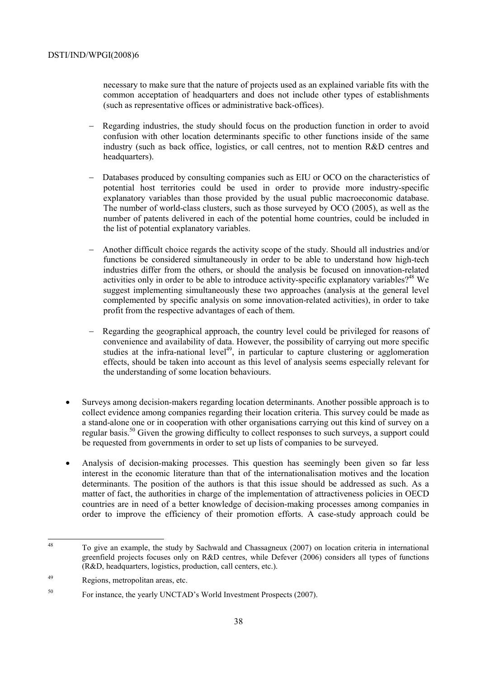necessary to make sure that the nature of projects used as an explained variable fits with the common acceptation of headquarters and does not include other types of establishments (such as representative offices or administrative back-offices).

- Regarding industries, the study should focus on the production function in order to avoid confusion with other location determinants specific to other functions inside of the same industry (such as back office, logistics, or call centres, not to mention R&D centres and headquarters).
- Databases produced by consulting companies such as EIU or OCO on the characteristics of potential host territories could be used in order to provide more industry-specific explanatory variables than those provided by the usual public macroeconomic database. The number of world-class clusters, such as those surveyed by OCO (2005), as well as the number of patents delivered in each of the potential home countries, could be included in the list of potential explanatory variables.
- − Another difficult choice regards the activity scope of the study. Should all industries and/or functions be considered simultaneously in order to be able to understand how high-tech industries differ from the others, or should the analysis be focused on innovation-related activities only in order to be able to introduce activity-specific explanatory variables?<sup>48</sup> We suggest implementing simultaneously these two approaches (analysis at the general level complemented by specific analysis on some innovation-related activities), in order to take profit from the respective advantages of each of them.
- Regarding the geographical approach, the country level could be privileged for reasons of convenience and availability of data. However, the possibility of carrying out more specific studies at the infra-national level<sup>49</sup>, in particular to capture clustering or agglomeration effects, should be taken into account as this level of analysis seems especially relevant for the understanding of some location behaviours.
- Surveys among decision-makers regarding location determinants. Another possible approach is to collect evidence among companies regarding their location criteria. This survey could be made as a stand-alone one or in cooperation with other organisations carrying out this kind of survey on a regular basis.<sup>50</sup> Given the growing difficulty to collect responses to such surveys, a support could be requested from governments in order to set up lists of companies to be surveyed.
- Analysis of decision-making processes. This question has seemingly been given so far less interest in the economic literature than that of the internationalisation motives and the location determinants. The position of the authors is that this issue should be addressed as such. As a matter of fact, the authorities in charge of the implementation of attractiveness policies in OECD countries are in need of a better knowledge of decision-making processes among companies in order to improve the efficiency of their promotion efforts. A case-study approach could be

 $\overline{48}$ 48 To give an example, the study by Sachwald and Chassagneux (2007) on location criteria in international greenfield projects focuses only on R&D centres, while Defever (2006) considers all types of functions (R&D, headquarters, logistics, production, call centers, etc.).

<sup>49</sup> Regions, metropolitan areas, etc.

<sup>50</sup> For instance, the yearly UNCTAD's World Investment Prospects (2007).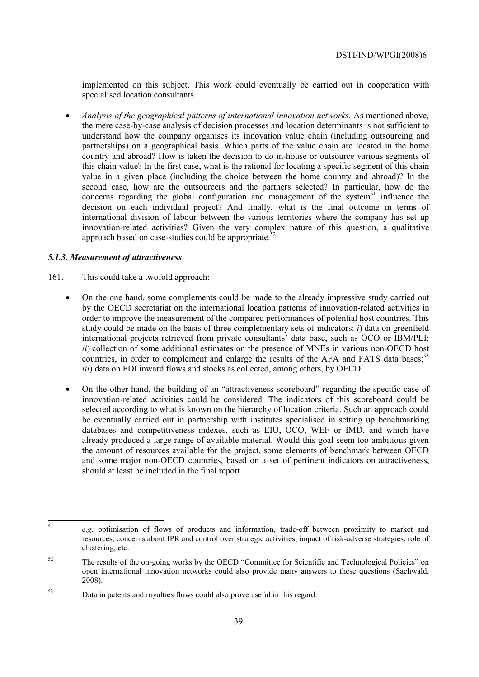implemented on this subject. This work could eventually be carried out in cooperation with specialised location consultants.

• *Analysis of the geographical patterns of international innovation networks.* As mentioned above, the mere case-by-case analysis of decision processes and location determinants is not sufficient to understand how the company organises its innovation value chain (including outsourcing and partnerships) on a geographical basis. Which parts of the value chain are located in the home country and abroad? How is taken the decision to do in-house or outsource various segments of this chain value? In the first case, what is the rational for locating a specific segment of this chain value in a given place (including the choice between the home country and abroad)? In the second case, how are the outsourcers and the partners selected? In particular, how do the concerns regarding the global configuration and management of the system<sup>51</sup> influence the decision on each individual project? And finally, what is the final outcome in terms of international division of labour between the various territories where the company has set up innovation-related activities? Given the very complex nature of this question, a qualitative approach based on case-studies could be appropriate.<sup>52</sup>

### *5.1.3. Measurement of attractiveness*

- 161. This could take a twofold approach:
	- On the one hand, some complements could be made to the already impressive study carried out by the OECD secretariat on the international location patterns of innovation-related activities in order to improve the measurement of the compared performances of potential host countries. This study could be made on the basis of three complementary sets of indicators: *i*) data on greenfield international projects retrieved from private consultants' data base, such as OCO or IBM/PLI; *ii*) collection of some additional estimates on the presence of MNEs in various non-OECD host countries, in order to complement and enlarge the results of the AFA and FATS data bases:<sup>53</sup> *iii*) data on FDI inward flows and stocks as collected, among others, by OECD.
	- On the other hand, the building of an "attractiveness scoreboard" regarding the specific case of innovation-related activities could be considered. The indicators of this scoreboard could be selected according to what is known on the hierarchy of location criteria. Such an approach could be eventually carried out in partnership with institutes specialised in setting up benchmarking databases and competitiveness indexes, such as EIU, OCO, WEF or IMD, and which have already produced a large range of available material. Would this goal seem too ambitious given the amount of resources available for the project, some elements of benchmark between OECD and some major non-OECD countries, based on a set of pertinent indicators on attractiveness, should at least be included in the final report.

 $51$ <sup>51</sup> *e.g.* optimisation of flows of products and information, trade-off between proximity to market and resources, concerns about IPR and control over strategic activities, impact of risk-adverse strategies, role of clustering, etc.

<sup>&</sup>lt;sup>52</sup> The results of the on-going works by the OECD "Committee for Scientific and Technological Policies" on open international innovation networks could also provide many answers to these questions (Sachwald, 2008).

<sup>53</sup> Data in patents and royalties flows could also prove useful in this regard.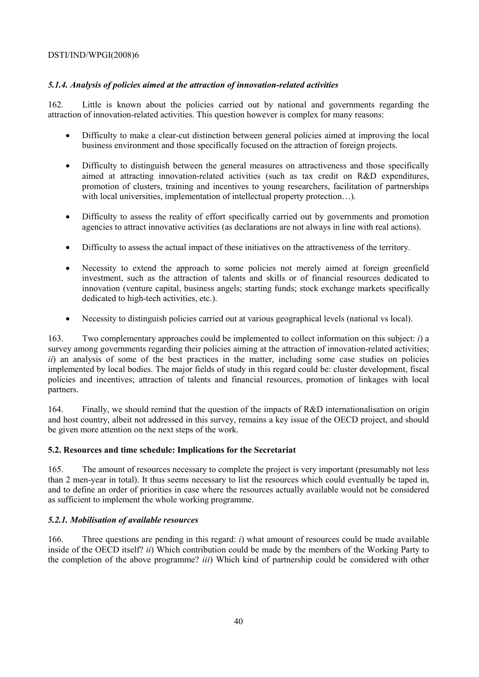# *5.1.4. Analysis of policies aimed at the attraction of innovation-related activities*

162. Little is known about the policies carried out by national and governments regarding the attraction of innovation-related activities. This question however is complex for many reasons:

- Difficulty to make a clear-cut distinction between general policies aimed at improving the local business environment and those specifically focused on the attraction of foreign projects.
- Difficulty to distinguish between the general measures on attractiveness and those specifically aimed at attracting innovation-related activities (such as tax credit on R&D expenditures, promotion of clusters, training and incentives to young researchers, facilitation of partnerships with local universities, implementation of intellectual property protection...).
- Difficulty to assess the reality of effort specifically carried out by governments and promotion agencies to attract innovative activities (as declarations are not always in line with real actions).
- Difficulty to assess the actual impact of these initiatives on the attractiveness of the territory.
- Necessity to extend the approach to some policies not merely aimed at foreign greenfield investment, such as the attraction of talents and skills or of financial resources dedicated to innovation (venture capital, business angels; starting funds; stock exchange markets specifically dedicated to high-tech activities, etc.).
- Necessity to distinguish policies carried out at various geographical levels (national vs local).

163. Two complementary approaches could be implemented to collect information on this subject: *i*) a survey among governments regarding their policies aiming at the attraction of innovation-related activities; *ii*) an analysis of some of the best practices in the matter, including some case studies on policies implemented by local bodies. The major fields of study in this regard could be: cluster development, fiscal policies and incentives; attraction of talents and financial resources, promotion of linkages with local partners.

164. Finally, we should remind that the question of the impacts of R&D internationalisation on origin and host country, albeit not addressed in this survey, remains a key issue of the OECD project, and should be given more attention on the next steps of the work.

### **5.2. Resources and time schedule: Implications for the Secretariat**

165. The amount of resources necessary to complete the project is very important (presumably not less than 2 men-year in total). It thus seems necessary to list the resources which could eventually be taped in, and to define an order of priorities in case where the resources actually available would not be considered as sufficient to implement the whole working programme.

### *5.2.1. Mobilisation of available resources*

166. Three questions are pending in this regard: *i*) what amount of resources could be made available inside of the OECD itself? *ii*) Which contribution could be made by the members of the Working Party to the completion of the above programme? *iii*) Which kind of partnership could be considered with other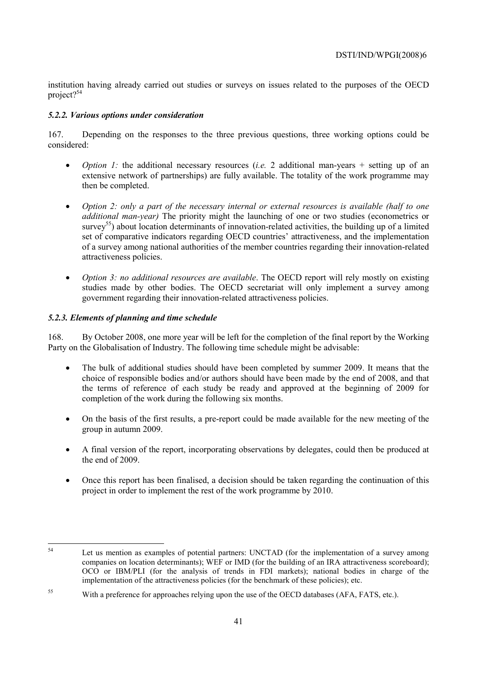institution having already carried out studies or surveys on issues related to the purposes of the OECD project<sup>254</sup>

# *5.2.2. Various options under consideration*

167. Depending on the responses to the three previous questions, three working options could be considered:

- *Option 1:* the additional necessary resources (*i.e.* 2 additional man-years + setting up of an extensive network of partnerships) are fully available. The totality of the work programme may then be completed.
- *Option 2: only a part of the necessary internal or external resources is available (half to one additional man-year)* The priority might the launching of one or two studies (econometrics or  $s$ urvey<sup>55</sup>) about location determinants of innovation-related activities, the building up of a limited set of comparative indicators regarding OECD countries' attractiveness, and the implementation of a survey among national authorities of the member countries regarding their innovation-related attractiveness policies.
- *Option 3: no additional resources are available*. The OECD report will rely mostly on existing studies made by other bodies. The OECD secretariat will only implement a survey among government regarding their innovation-related attractiveness policies.

# *5.2.3. Elements of planning and time schedule*

168. By October 2008, one more year will be left for the completion of the final report by the Working Party on the Globalisation of Industry. The following time schedule might be advisable:

- The bulk of additional studies should have been completed by summer 2009. It means that the choice of responsible bodies and/or authors should have been made by the end of 2008, and that the terms of reference of each study be ready and approved at the beginning of 2009 for completion of the work during the following six months.
- On the basis of the first results, a pre-report could be made available for the new meeting of the group in autumn 2009.
- A final version of the report, incorporating observations by delegates, could then be produced at the end of 2009.
- Once this report has been finalised, a decision should be taken regarding the continuation of this project in order to implement the rest of the work programme by 2010.

 $54$ Let us mention as examples of potential partners: UNCTAD (for the implementation of a survey among companies on location determinants); WEF or IMD (for the building of an IRA attractiveness scoreboard); OCO or IBM/PLI (for the analysis of trends in FDI markets); national bodies in charge of the implementation of the attractiveness policies (for the benchmark of these policies); etc.

<sup>&</sup>lt;sup>55</sup> With a preference for approaches relying upon the use of the OECD databases (AFA, FATS, etc.).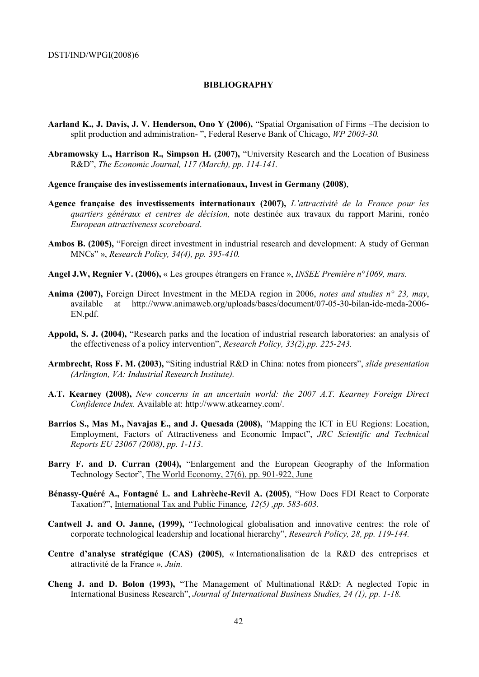#### **BIBLIOGRAPHY**

- **Aarland K., J. Davis, J. V. Henderson, Ono Y (2006),** "Spatial Organisation of Firms –The decision to split production and administration- ", Federal Reserve Bank of Chicago, *WP 2003-30.*
- **Abramowsky L., Harrison R., Simpson H. (2007),** "University Research and the Location of Business R&D", *The Economic Journal, 117 (March), pp. 114-141.*
- **Agence française des investissements internationaux, Invest in Germany (2008)**,
- **Agence française des investissements internationaux (2007),** *L'attractivité de la France pour les quartiers généraux et centres de décision,* note destinée aux travaux du rapport Marini, ronéo *European attractiveness scoreboard*.
- **Ambos B. (2005),** "Foreign direct investment in industrial research and development: A study of German MNCs" », *Research Policy, 34(4), pp. 395-410.*
- **Angel J.W, Regnier V. (2006),** « Les groupes étrangers en France », *INSEE Première n°1069, mars.*
- **Anima (2007),** Foreign Direct Investment in the MEDA region in 2006, *notes and studies n° 23, may*, available at http://www.animaweb.org/uploads/bases/document/07-05-30-bilan-ide-meda-2006- EN.pdf.
- **Appold, S. J. (2004),** "Research parks and the location of industrial research laboratories: an analysis of the effectiveness of a policy intervention", *Research Policy, 33(2),pp. 225-243.*
- **Armbrecht, Ross F. M. (2003),** "Siting industrial R&D in China: notes from pioneers", *slide presentation (Arlington, VA: Industrial Research Institute).*
- **A.T. Kearney (2008),** *New concerns in an uncertain world: the 2007 A.T. Kearney Foreign Direct Confidence Index.* Available at: http://www.atkearney.com/.
- **Barrios S., Mas M., Navajas E., and J. Quesada (2008),** *"*Mapping the ICT in EU Regions: Location, Employment, Factors of Attractiveness and Economic Impact", *JRC Scientific and Technical Reports EU 23067 (2008)*, *pp. 1-113*.
- **Barry F. and D. Curran (2004),** "Enlargement and the European Geography of the Information Technology Sector", The World Economy, 27(6), pp. 901-922, June
- **Bénassy-Quéré A., Fontagné L. and Lahrèche-Revil A. (2005)**, "How Does FDI React to Corporate Taxation?", International Tax and Public Finance*, 12(5) ,pp. 583-603.*
- **Cantwell J. and O. Janne, (1999),** "Technological globalisation and innovative centres: the role of corporate technological leadership and locational hierarchy", *Research Policy, 28, pp. 119-144.*
- **Centre d'analyse stratégique (CAS) (2005)**, « Internationalisation de la R&D des entreprises et attractivité de la France », *Juin.*
- **Cheng J. and D. Bolon (1993),** "The Management of Multinational R&D: A neglected Topic in International Business Research", *Journal of International Business Studies, 24 (1), pp. 1-18.*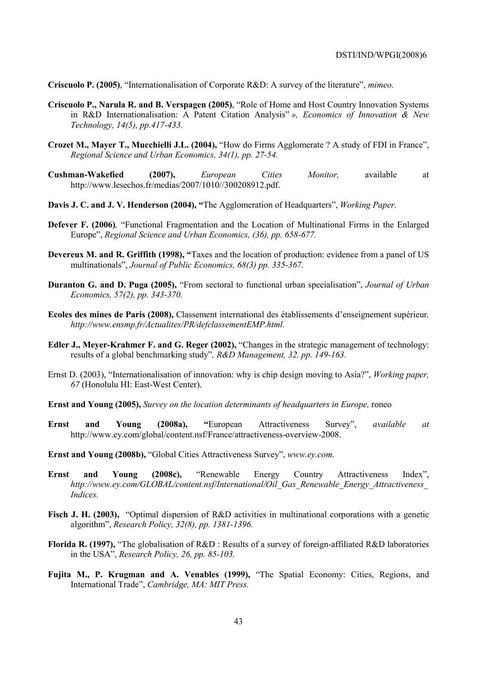**Criscuolo P. (2005)**, "Internationalisation of Corporate R&D: A survey of the literature", *mimeo.* 

- **Criscuolo P., Narula R. and B. Verspagen (2005)**, "Role of Home and Host Country Innovation Systems in R&D Internationalisation: A Patent Citation Analysis" *», Economics of Innovation & New Technology, 14(5), pp.417-433.*
- **Crozet M., Mayer T., Mucchielli J.L. (2004),** "How do Firms Agglomerate ? A study of FDI in France", *Regional Science and Urban Economics, 34(1), pp. 27-54.*
- **Cushman-Wakefied (2007),** *European Cities Monitor,* available at http://www.lesechos.fr/medias/2007/1010//300208912.pdf.
- **Davis J. C. and J. V. Henderson (2004), "**The Agglomeration of Headquarters", *Working Paper.*
- **Defever F. (2006)***,* "Functional Fragmentation and the Location of Multinational Firms in the Enlarged Europe", *Regional Science and Urban Economics, (36), pp. 658-677.*
- **Devereux M. and R. Griffith (1998), "**Taxes and the location of production: evidence from a panel of US multinationals", *Journal of Public Economics, 68(3) pp. 335-367.*
- **Duranton G. and D. Puga (2005),** "From sectoral to functional urban specialisation", *Journal of Urban Economics, 57(2), pp. 343-370.*
- **Ecoles des mines de Paris (2008),** Classement international des établissements d'enseignement supérieur*, http://www.ensmp.fr/Actualites/PR/defclassementEMP.html.*
- **Edler J., Meyer-Krahmer F. and G. Reger (2002),** "Changes in the strategic management of technology: results of a global benchmarking study"*, R&D Management, 32, pp. 149-163.*
- Ernst D. (2003), "Internationalisation of innovation: why is chip design moving to Asia?", *Working paper, 67* (Honolulu HI: East-West Center).
- **Ernst and Young (2005),** *Survey on the location determinants of headquarters in Europe,* roneo
- **Ernst and Young (2008a), "**European Attractiveness Survey", *available at* http://www.ey.com/global/content.nsf/France/attractiveness-overview-2008.
- **Ernst and Young (2008b),** "Global Cities Attractiveness Survey", *www.ey.com.*
- **Ernst and Young (2008c),** "Renewable Energy Country Attractiveness Index", *http://www.ey.com/GLOBAL/content.nsf/International/Oil\_Gas\_Renewable\_Energy\_Attractiveness\_ Indices.*
- Fisch J. H. (2003), "Optimal dispersion of R&D activities in multinational corporations with a genetic algorithm", *Research Policy, 32(8), pp. 1381-1396.*
- **Florida R. (1997),** "The globalisation of R&D : Results of a survey of foreign-affiliated R&D laboratories in the USA", *Research Policy, 26, pp. 85-103.*
- **Fujita M., P. Krugman and A. Venables (1999),** "The Spatial Economy: Cities, Regions, and International Trade", *Cambridge, MA: MIT Press.*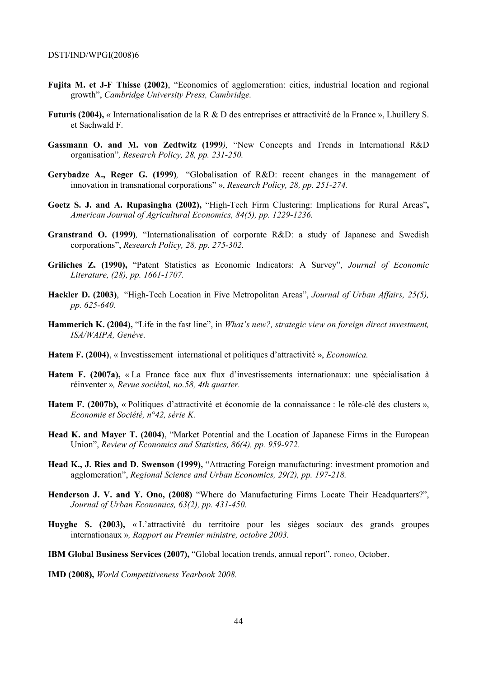- **Fujita M. et J-F Thisse (2002)**, "Economics of agglomeration: cities, industrial location and regional growth", *Cambridge University Press, Cambridge.*
- **Futuris (2004),** « Internationalisation de la R & D des entreprises et attractivité de la France », Lhuillery S. et Sachwald F.
- **Gassmann O. and M. von Zedtwitz (1999***),* "New Concepts and Trends in International R&D organisation"*, Research Policy, 28, pp. 231-250.*
- **Gerybadze A., Reger G. (1999)***,* "Globalisation of R&D: recent changes in the management of innovation in transnational corporations" », *Research Policy, 28, pp. 251-274.*
- **Goetz S. J. and A. Rupasingha (2002),** "High-Tech Firm Clustering: Implications for Rural Areas"**,** *American Journal of Agricultural Economics, 84(5), pp. 1229-1236.*
- **Granstrand O. (1999)***,* "Internationalisation of corporate R&D: a study of Japanese and Swedish corporations", *Research Policy, 28, pp. 275-302.*
- **Griliches Z. (1990),** "Patent Statistics as Economic Indicators: A Survey", *Journal of Economic Literature, (28), pp. 1661-1707.*
- **Hackler D. (2003)**, "High-Tech Location in Five Metropolitan Areas", *Journal of Urban Affairs, 25(5), pp. 625-640.*
- **Hammerich K. (2004),** "Life in the fast line", in *What's new?, strategic view on foreign direct investment, ISA/WAIPA, Genève.*
- **Hatem F. (2004)**, « Investissement international et politiques d'attractivité », *Economica.*
- **Hatem F. (2007a),** « La France face aux flux d'investissements internationaux: une spécialisation à réinventer »*, Revue sociétal, no.58, 4th quarter.*
- **Hatem F. (2007b),** « Politiques d'attractivité et économie de la connaissance : le rôle-clé des clusters », *Economie et Société, n°42, série K.*
- **Head K. and Mayer T. (2004)**, "Market Potential and the Location of Japanese Firms in the European Union", *Review of Economics and Statistics, 86(4), pp. 959-972.*
- **Head K., J. Ries and D. Swenson (1999),** "Attracting Foreign manufacturing: investment promotion and agglomeration", *Regional Science and Urban Economics, 29(2), pp. 197-218.*
- **Henderson J. V. and Y. Ono, (2008)** "Where do Manufacturing Firms Locate Their Headquarters?", *Journal of Urban Economics, 63(2), pp. 431-450.*
- **Huyghe S. (2003),** « L'attractivité du territoire pour les sièges sociaux des grands groupes internationaux »*, Rapport au Premier ministre, octobre 2003.*
- **IBM Global Business Services (2007),** "Global location trends, annual report", roneo, October.
- **IMD (2008),** *World Competitiveness Yearbook 2008.*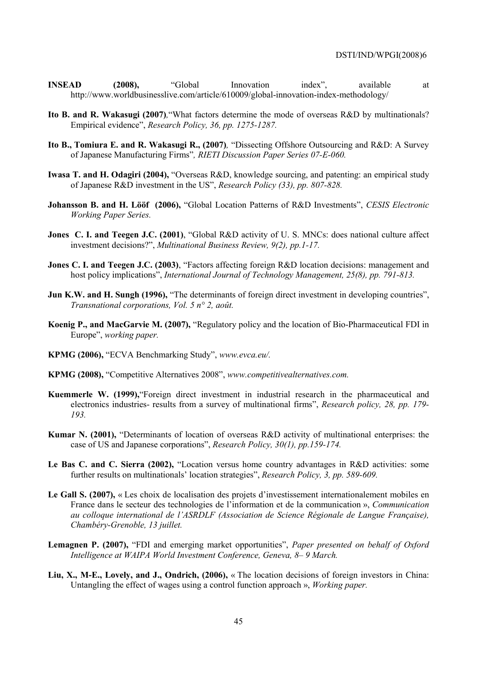- **INSEAD** (2008), "Global Innovation index", available at http://www.worldbusinesslive.com/article/610009/global-innovation-index-methodology/
- **Ito B. and R. Wakasugi (2007)***,*"What factors determine the mode of overseas R&D by multinationals? Empirical evidence", *Research Policy, 36, pp. 1275-1287.*
- **Ito B., Tomiura E. and R. Wakasugi R., (2007)***,* "Dissecting Offshore Outsourcing and R&D: A Survey of Japanese Manufacturing Firms"*, RIETI Discussion Paper Series 07-E-060.*
- **Iwasa T. and H. Odagiri (2004),** "Overseas R&D, knowledge sourcing, and patenting: an empirical study of Japanese R&D investment in the US", *Research Policy (33), pp. 807-828.*
- **Johansson B. and H. Lööf (2006),** "Global Location Patterns of R&D Investments", *CESIS Electronic Working Paper Series.*
- **Jones C. I. and Teegen J.C. (2001)**, "Global R&D activity of U. S. MNCs: does national culture affect investment decisions?", *Multinational Business Review, 9(2), pp.1-17.*
- **Jones C. I. and Teegen J.C. (2003)**, "Factors affecting foreign R&D location decisions: management and host policy implications", *International Journal of Technology Management, 25(8), pp. 791-813.*
- **Jun K.W. and H. Sungh (1996),** "The determinants of foreign direct investment in developing countries", *Transnational corporations, Vol. 5 n° 2, août.*
- **Koenig P., and MacGarvie M. (2007),** "Regulatory policy and the location of Bio-Pharmaceutical FDI in Europe", *working paper.*
- **KPMG (2006),** "ECVA Benchmarking Study", *www.evca.eu/.*
- **KPMG (2008),** "Competitive Alternatives 2008", *www.competitivealternatives.com.*
- **Kuemmerle W. (1999),**"Foreign direct investment in industrial research in the pharmaceutical and electronics industries- results from a survey of multinational firms", *Research policy, 28, pp. 179- 193.*
- **Kumar N. (2001),** "Determinants of location of overseas R&D activity of multinational enterprises: the case of US and Japanese corporations", *Research Policy, 30(1), pp.159-174.*
- **Le Bas C. and C. Sierra (2002),** "Location versus home country advantages in R&D activities: some further results on multinationals' location strategies", *Research Policy, 3, pp. 589-609.*
- **Le Gall S. (2007),** « Les choix de localisation des projets d'investissement internationalement mobiles en France dans le secteur des technologies de l'information et de la communication », *Communication au colloque international de l'ASRDLF (Association de Science Régionale de Langue Française), Chambéry-Grenoble, 13 juillet.*
- **Lemagnen P. (2007),** "FDI and emerging market opportunities", *Paper presented on behalf of Oxford Intelligence at WAIPA World Investment Conference, Geneva, 8– 9 March.*
- **Liu, X., M-E., Lovely, and J., Ondrich, (2006),** « The location decisions of foreign investors in China: Untangling the effect of wages using a control function approach », *Working paper.*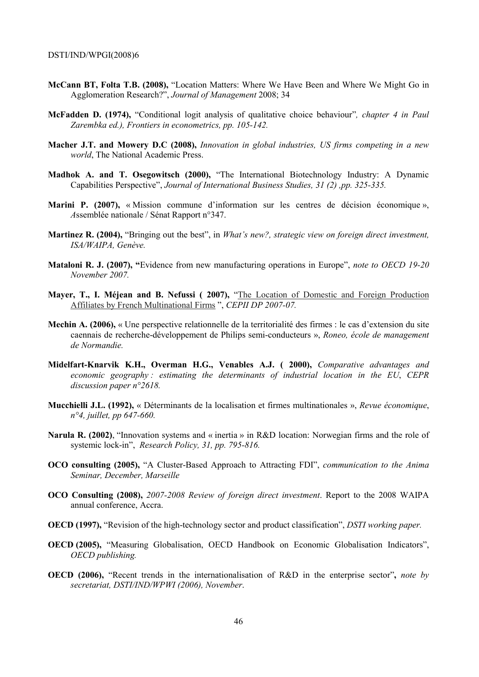- **McCann BT, Folta T.B. (2008),** "Location Matters: Where We Have Been and Where We Might Go in Agglomeration Research?", *Journal of Management* 2008; 34
- **McFadden D. (1974),** "Conditional logit analysis of qualitative choice behaviour"*, chapter 4 in Paul Zarembka ed.), Frontiers in econometrics, pp. 105-142.*
- **Macher J.T. and Mowery D.C (2008),** *Innovation in global industries, US firms competing in a new world*, The National Academic Press.
- **Madhok A. and T. Osegowitsch (2000),** "The International Biotechnology Industry: A Dynamic Capabilities Perspective", *Journal of International Business Studies, 31 (2) ,pp. 325-335.*
- **Marini P. (2007),** « Mission commune d'information sur les centres de décision économique », *A*ssemblée nationale / Sénat Rapport n°347.
- **Martinez R. (2004),** "Bringing out the best", in *What's new?, strategic view on foreign direct investment, ISA/WAIPA, Genève.*
- **Mataloni R. J. (2007), "**Evidence from new manufacturing operations in Europe", *note to OECD 19-20 November 2007.*
- **Mayer, T., I. Méjean and B. Nefussi ( 2007),** "The Location of Domestic and Foreign Production Affiliates by French Multinational Firms ", *CEPII DP 2007-07.*
- **Mechin A. (2006),** « Une perspective relationnelle de la territorialité des firmes : le cas d'extension du site caennais de recherche-développement de Philips semi-conducteurs », *Roneo, école de management de Normandie.*
- **Midelfart-Knarvik K.H., Overman H.G., Venables A.J. ( 2000),** *Comparative advantages and economic geography : estimating the determinants of industrial location in the EU*, *CEPR discussion paper n°2618.*
- **Mucchielli J.L. (1992),** « Déterminants de la localisation et firmes multinationales », *Revue économique*, *n°4, juillet, pp 647-660.*
- **Narula R. (2002)**, "Innovation systems and « inertia » in R&D location: Norwegian firms and the role of systemic lock-in", *Research Policy, 31, pp. 795-816.*
- **OCO consulting (2005),** "A Cluster-Based Approach to Attracting FDI", *communication to the Anima Seminar, December, Marseille*
- **OCO Consulting (2008),** *2007-2008 Review of foreign direct investment*. Report to the 2008 WAIPA annual conference, Accra.
- **OECD (1997),** "Revision of the high-technology sector and product classification", *DSTI working paper.*
- **OECD (2005),** "Measuring Globalisation, OECD Handbook on Economic Globalisation Indicators", *OECD publishing.*
- **OECD (2006),** "Recent trends in the internationalisation of R&D in the enterprise sector"**,** *note by secretariat, DSTI/IND/WPWI (2006), November*.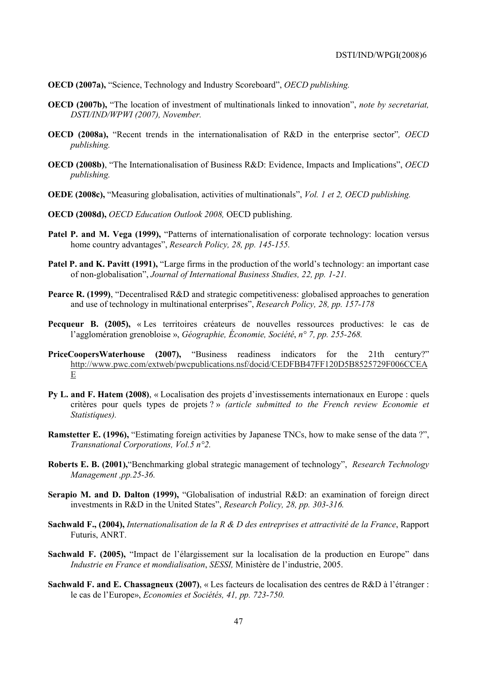- **OECD (2007a),** "Science, Technology and Industry Scoreboard", *OECD publishing.*
- **OECD (2007b),** "The location of investment of multinationals linked to innovation", *note by secretariat, DSTI/IND/WPWI (2007), November.*
- **OECD (2008a),** "Recent trends in the internationalisation of R&D in the enterprise sector"*, OECD publishing.*
- **OECD (2008b)**, "The Internationalisation of Business R&D: Evidence, Impacts and Implications", *OECD publishing.*
- **OEDE (2008c),** "Measuring globalisation, activities of multinationals", *Vol. 1 et 2, OECD publishing.*
- **OECD (2008d),** *OECD Education Outlook 2008,* OECD publishing.
- Patel P. and M. Vega (1999), "Patterns of internationalisation of corporate technology: location versus home country advantages", *Research Policy, 28, pp. 145-155.*
- Patel P. and K. Pavitt (1991), "Large firms in the production of the world's technology: an important case of non-globalisation", *Journal of International Business Studies, 22, pp. 1-21.*
- **Pearce R. (1999)**, "Decentralised R&D and strategic competitiveness: globalised approaches to generation and use of technology in multinational enterprises", *Research Policy, 28, pp. 157-178*
- **Pecqueur B. (2005),** « Les territoires créateurs de nouvelles ressources productives: le cas de l'agglomération grenobloise », *Géographie, Économie, Société*, *n° 7, pp. 255-268.*
- **PriceCoopersWaterhouse (2007),** "Business readiness indicators for the 21th century?" http://www.pwc.com/extweb/pwcpublications.nsf/docid/CEDFBB47FF120D5B8525729F006CCEA E
- **Py L. and F. Hatem (2008)**, « Localisation des projets d'investissements internationaux en Europe : quels critères pour quels types de projets ? » *(article submitted to the French review Economie et Statistiques).*
- **Ramstetter E. (1996),** "Estimating foreign activities by Japanese TNCs, how to make sense of the data ?", *Transnational Corporations, Vol.5 n°2.*
- **Roberts E. B. (2001),**"Benchmarking global strategic management of technology",*Research Technology Management ,pp.25-36.*
- **Serapio M. and D. Dalton (1999),** "Globalisation of industrial R&D: an examination of foreign direct investments in R&D in the United States", *Research Policy, 28, pp. 303-316.*
- **Sachwald F., (2004),** *Internationalisation de la R & D des entreprises et attractivité de la France*, Rapport Futuris, ANRT.
- **Sachwald F. (2005),** "Impact de l'élargissement sur la localisation de la production en Europe" dans *Industrie en France et mondialisation*, *SESSI,* Ministère de l'industrie, 2005.
- **Sachwald F. and E. Chassagneux (2007)**, « Les facteurs de localisation des centres de R&D à l'étranger : le cas de l'Europe», *Economies et Sociétés, 41, pp. 723-750.*